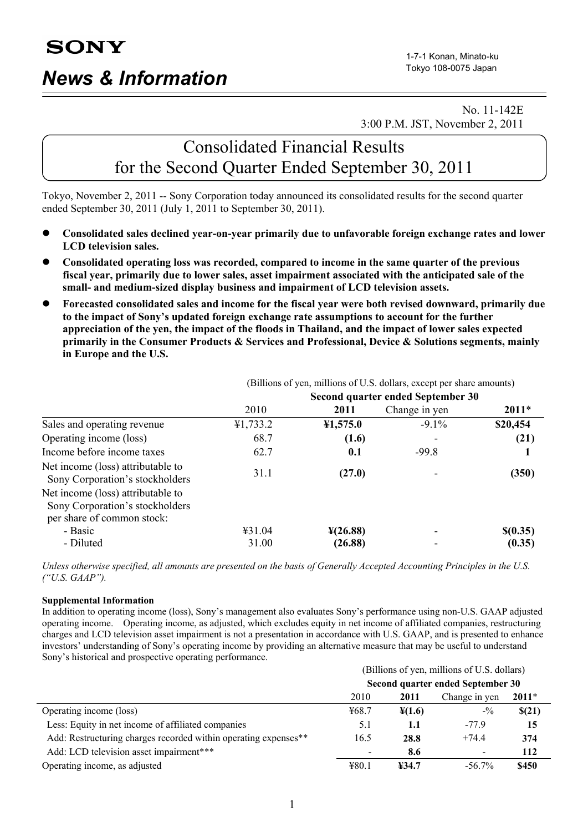# **SONY**

## No. 11-142E 3:00 P.M. JST, November 2, 2011

# Consolidated Financial Results for the Second Quarter Ended September 30, 2011

Tokyo, November 2, 2011 -- Sony Corporation today announced its consolidated results for the second quarter ended September 30, 2011 (July 1, 2011 to September 30, 2011).

- Consolidated sales declined year-on-year primarily due to unfavorable foreign exchange rates and lower **LCD television sales.**
- **•** Consolidated operating loss was recorded, compared to income in the same quarter of the previous **fiscal year, primarily due to lower sales, asset impairment associated with the anticipated sale of the small- and medium-sized display business and impairment of LCD television assets.**
- **•** Forecasted consolidated sales and income for the fiscal year were both revised downward, primarily due **to the impact of Sony's updated foreign exchange rate assumptions to account for the further appreciation of the yen, the impact of the floods in Thailand, and the impact of lower sales expected primarily in the Consumer Products & Services and Professional, Device & Solutions segments, mainly in Europe and the U.S.**

|                                                                                                    | (Billions of yen, millions of U.S. dollars, except per share amounts) |                      |                                   |          |  |  |  |  |
|----------------------------------------------------------------------------------------------------|-----------------------------------------------------------------------|----------------------|-----------------------------------|----------|--|--|--|--|
|                                                                                                    |                                                                       |                      | Second quarter ended September 30 |          |  |  |  |  |
|                                                                                                    | 2010                                                                  | 2011                 | Change in yen                     | $2011*$  |  |  |  |  |
| Sales and operating revenue                                                                        | 41,733.2                                                              | 41,575.0             | $-9.1\%$                          | \$20,454 |  |  |  |  |
| Operating income (loss)                                                                            | 68.7                                                                  | (1.6)                |                                   | (21)     |  |  |  |  |
| Income before income taxes                                                                         | 62.7                                                                  | 0.1                  | $-99.8$                           |          |  |  |  |  |
| Net income (loss) attributable to<br>Sony Corporation's stockholders                               | 31.1                                                                  | (27.0)               |                                   | (350)    |  |  |  |  |
| Net income (loss) attributable to<br>Sony Corporation's stockholders<br>per share of common stock: |                                                                       |                      |                                   |          |  |  |  |  |
| - Basic                                                                                            | 431.04                                                                | $\frac{1}{2}(26.88)$ |                                   | \$(0.35) |  |  |  |  |
| - Diluted                                                                                          | 31.00                                                                 | (26.88)              |                                   | (0.35)   |  |  |  |  |

*Unless otherwise specified, all amounts are presented on the basis of Generally Accepted Accounting Principles in the U.S. ("U.S. GAAP").* 

### **Supplemental Information**

In addition to operating income (loss), Sony's management also evaluates Sony's performance using non-U.S. GAAP adjusted operating income. Operating income, as adjusted, which excludes equity in net income of affiliated companies, restructuring charges and LCD television asset impairment is not a presentation in accordance with U.S. GAAP, and is presented to enhance investors' understanding of Sony's operating income by providing an alternative measure that may be useful to understand Sony's historical and prospective operating performance.

|                                                                 | (Billions of yen, millions of U.S. dollars) |                    |                          |         |  |
|-----------------------------------------------------------------|---------------------------------------------|--------------------|--------------------------|---------|--|
|                                                                 | Second quarter ended September 30           |                    |                          |         |  |
|                                                                 | 2010                                        | 2011               | Change in yen            | $2011*$ |  |
| Operating income (loss)                                         | 468.7                                       | $\frac{1}{2}(1.6)$ | $-9/0$                   | \$(21)  |  |
| Less: Equity in net income of affiliated companies              | 5.1                                         | 1.1                | $-77.9$                  | 15      |  |
| Add: Restructuring charges recorded within operating expenses** | 16.5                                        | 28.8               | $+74.4$                  | 374     |  |
| Add: LCD television asset impairment***                         | $\blacksquare$                              | 8.6                | $\overline{\phantom{0}}$ | 112     |  |
| Operating income, as adjusted                                   | 480.1                                       | 434.7              | $-56.7\%$                | \$450   |  |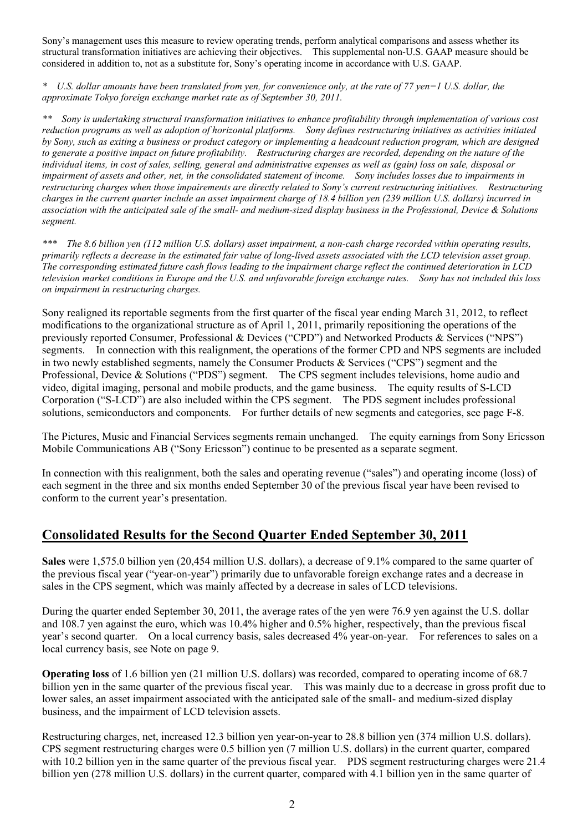Sony's management uses this measure to review operating trends, perform analytical comparisons and assess whether its structural transformation initiatives are achieving their objectives. This supplemental non-U.S. GAAP measure should be considered in addition to, not as a substitute for, Sony's operating income in accordance with U.S. GAAP.

*\* U.S. dollar amounts have been translated from yen, for convenience only, at the rate of 77 yen=1 U.S. dollar, the approximate Tokyo foreign exchange market rate as of September 30, 2011.* 

*\*\* Sony is undertaking structural transformation initiatives to enhance profitability through implementation of various cost reduction programs as well as adoption of horizontal platforms. Sony defines restructuring initiatives as activities initiated by Sony, such as exiting a business or product category or implementing a headcount reduction program, which are designed to generate a positive impact on future profitability. Restructuring charges are recorded, depending on the nature of the individual items, in cost of sales, selling, general and administrative expenses as well as (gain) loss on sale, disposal or impairment of assets and other, net, in the consolidated statement of income. Sony includes losses due to impairments in restructuring charges when those impairements are directly related to Sony's current restructuring initiatives. Restructuring charges in the current quarter include an asset impairment charge of 18.4 billion yen (239 million U.S. dollars) incurred in association with the anticipated sale of the small- and medium-sized display business in the Professional, Device & Solutions segment.* 

*\*\*\* The 8.6 billion yen (112 million U.S. dollars) asset impairment, a non-cash charge recorded within operating results, primarily reflects a decrease in the estimated fair value of long-lived assets associated with the LCD television asset group. The corresponding estimated future cash flows leading to the impairment charge reflect the continued deterioration in LCD television market conditions in Europe and the U.S. and unfavorable foreign exchange rates. Sony has not included this loss on impairment in restructuring charges.*

Sony realigned its reportable segments from the first quarter of the fiscal year ending March 31, 2012, to reflect modifications to the organizational structure as of April 1, 2011, primarily repositioning the operations of the previously reported Consumer, Professional & Devices ("CPD") and Networked Products & Services ("NPS") segments. In connection with this realignment, the operations of the former CPD and NPS segments are included in two newly established segments, namely the Consumer Products & Services ("CPS") segment and the Professional, Device & Solutions ("PDS") segment. The CPS segment includes televisions, home audio and video, digital imaging, personal and mobile products, and the game business. The equity results of S-LCD Corporation ("S-LCD") are also included within the CPS segment. The PDS segment includes professional solutions, semiconductors and components. For further details of new segments and categories, see page F-8.

The Pictures, Music and Financial Services segments remain unchanged. The equity earnings from Sony Ericsson Mobile Communications AB ("Sony Ericsson") continue to be presented as a separate segment.

In connection with this realignment, both the sales and operating revenue ("sales") and operating income (loss) of each segment in the three and six months ended September 30 of the previous fiscal year have been revised to conform to the current year's presentation.

## **Consolidated Results for the Second Quarter Ended September 30, 2011**

**Sales** were 1,575.0 billion yen (20,454 million U.S. dollars), a decrease of 9.1% compared to the same quarter of the previous fiscal year ("year-on-year") primarily due to unfavorable foreign exchange rates and a decrease in sales in the CPS segment, which was mainly affected by a decrease in sales of LCD televisions.

During the quarter ended September 30, 2011, the average rates of the yen were 76.9 yen against the U.S. dollar and 108.7 yen against the euro, which was 10.4% higher and 0.5% higher, respectively, than the previous fiscal year's second quarter. On a local currency basis, sales decreased 4% year-on-year. For references to sales on a local currency basis, see Note on page 9.

**Operating loss** of 1.6 billion yen (21 million U.S. dollars) was recorded, compared to operating income of 68.7 billion yen in the same quarter of the previous fiscal year. This was mainly due to a decrease in gross profit due to lower sales, an asset impairment associated with the anticipated sale of the small- and medium-sized display business, and the impairment of LCD television assets.

Restructuring charges, net, increased 12.3 billion yen year-on-year to 28.8 billion yen (374 million U.S. dollars). CPS segment restructuring charges were 0.5 billion yen (7 million U.S. dollars) in the current quarter, compared with 10.2 billion yen in the same quarter of the previous fiscal year. PDS segment restructuring charges were 21.4 billion yen (278 million U.S. dollars) in the current quarter, compared with 4.1 billion yen in the same quarter of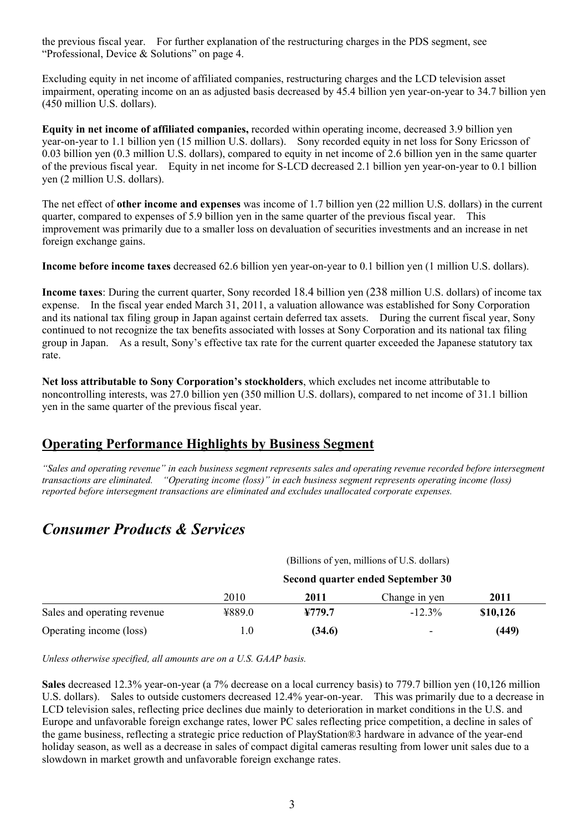the previous fiscal year. For further explanation of the restructuring charges in the PDS segment, see "Professional, Device & Solutions" on page 4.

Excluding equity in net income of affiliated companies, restructuring charges and the LCD television asset impairment, operating income on an as adjusted basis decreased by 45.4 billion yen year-on-year to 34.7 billion yen (450 million U.S. dollars).

**Equity in net income of affiliated companies,** recorded within operating income, decreased 3.9 billion yen year-on-year to 1.1 billion yen (15 million U.S. dollars). Sony recorded equity in net loss for Sony Ericsson of 0.03 billion yen (0.3 million U.S. dollars), compared to equity in net income of 2.6 billion yen in the same quarter of the previous fiscal year. Equity in net income for S-LCD decreased 2.1 billion yen year-on-year to 0.1 billion yen (2 million U.S. dollars).

The net effect of **other income and expenses** was income of 1.7 billion yen (22 million U.S. dollars) in the current quarter, compared to expenses of 5.9 billion yen in the same quarter of the previous fiscal year. This improvement was primarily due to a smaller loss on devaluation of securities investments and an increase in net foreign exchange gains.

**Income before income taxes** decreased 62.6 billion yen year-on-year to 0.1 billion yen (1 million U.S. dollars).

**Income taxes**: During the current quarter, Sony recorded 18.4 billion yen (238 million U.S. dollars) of income tax expense. In the fiscal year ended March 31, 2011, a valuation allowance was established for Sony Corporation and its national tax filing group in Japan against certain deferred tax assets. During the current fiscal year, Sony continued to not recognize the tax benefits associated with losses at Sony Corporation and its national tax filing group in Japan. As a result, Sony's effective tax rate for the current quarter exceeded the Japanese statutory tax rate.

**Net loss attributable to Sony Corporation's stockholders**, which excludes net income attributable to noncontrolling interests, was 27.0 billion yen (350 million U.S. dollars), compared to net income of 31.1 billion yen in the same quarter of the previous fiscal year.

## **Operating Performance Highlights by Business Segment**

*"Sales and operating revenue" in each business segment represents sales and operating revenue recorded before intersegment transactions are eliminated. "Operating income (loss)" in each business segment represents operating income (loss) reported before intersegment transactions are eliminated and excludes unallocated corporate expenses.* 

# *Consumer Products & Services*

|                             | Second quarter ended September 30 |        |               |          |  |  |  |
|-----------------------------|-----------------------------------|--------|---------------|----------|--|--|--|
|                             | 2010                              | 2011   | Change in yen | 2011     |  |  |  |
| Sales and operating revenue | ¥889.0                            | ¥779.7 | $-12.3\%$     | \$10,126 |  |  |  |
| Operating income (loss)     | 1.0                               | (34.6) | -             | (449)    |  |  |  |

*Unless otherwise specified, all amounts are on a U.S. GAAP basis.* 

**Sales** decreased 12.3% year-on-year (a 7% decrease on a local currency basis) to 779.7 billion yen (10,126 million U.S. dollars). Sales to outside customers decreased 12.4% year-on-year. This was primarily due to a decrease in LCD television sales, reflecting price declines due mainly to deterioration in market conditions in the U.S. and Europe and unfavorable foreign exchange rates, lower PC sales reflecting price competition, a decline in sales of the game business, reflecting a strategic price reduction of PlayStation®3 hardware in advance of the year-end holiday season, as well as a decrease in sales of compact digital cameras resulting from lower unit sales due to a slowdown in market growth and unfavorable foreign exchange rates.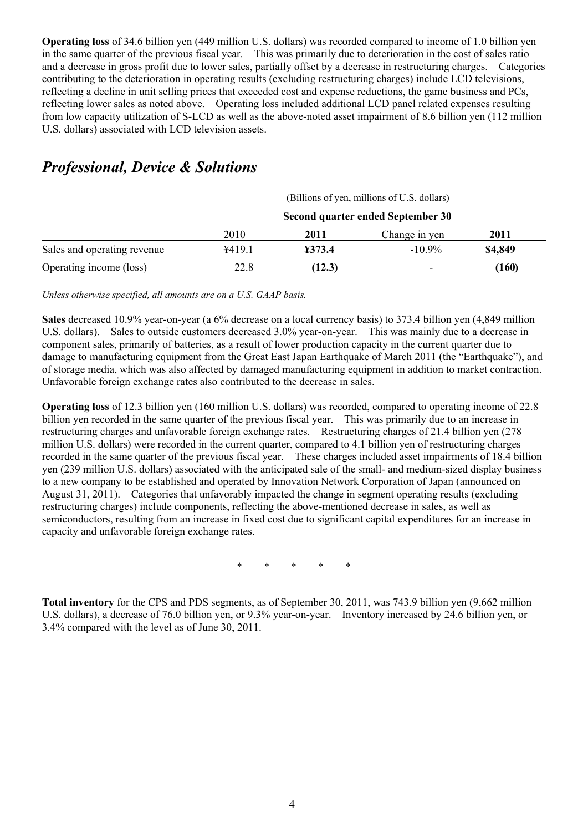**Operating loss** of 34.6 billion yen (449 million U.S. dollars) was recorded compared to income of 1.0 billion yen in the same quarter of the previous fiscal year. This was primarily due to deterioration in the cost of sales ratio and a decrease in gross profit due to lower sales, partially offset by a decrease in restructuring charges. Categories contributing to the deterioration in operating results (excluding restructuring charges) include LCD televisions, reflecting a decline in unit selling prices that exceeded cost and expense reductions, the game business and PCs, reflecting lower sales as noted above. Operating loss included additional LCD panel related expenses resulting from low capacity utilization of S-LCD as well as the above-noted asset impairment of 8.6 billion yen (112 million U.S. dollars) associated with LCD television assets.

## *Professional, Device & Solutions*

|                             | (Billions of yen, millions of U.S. dollars) |        |                          |         |  |  |  |  |
|-----------------------------|---------------------------------------------|--------|--------------------------|---------|--|--|--|--|
|                             | Second quarter ended September 30           |        |                          |         |  |  |  |  |
|                             | 2010                                        | 2011   | Change in yen            | 2011    |  |  |  |  |
| Sales and operating revenue | 4419.1                                      | ¥373.4 | $-10.9\%$                | \$4,849 |  |  |  |  |
| Operating income (loss)     | 22.8                                        | (12.3) | $\overline{\phantom{0}}$ | (160)   |  |  |  |  |

*Unless otherwise specified, all amounts are on a U.S. GAAP basis.* 

**Sales** decreased 10.9% year-on-year (a 6% decrease on a local currency basis) to 373.4 billion yen (4,849 million U.S. dollars). Sales to outside customers decreased 3.0% year-on-year. This was mainly due to a decrease in component sales, primarily of batteries, as a result of lower production capacity in the current quarter due to damage to manufacturing equipment from the Great East Japan Earthquake of March 2011 (the "Earthquake"), and of storage media, which was also affected by damaged manufacturing equipment in addition to market contraction. Unfavorable foreign exchange rates also contributed to the decrease in sales.

**Operating loss** of 12.3 billion yen (160 million U.S. dollars) was recorded, compared to operating income of 22.8 billion yen recorded in the same quarter of the previous fiscal year. This was primarily due to an increase in restructuring charges and unfavorable foreign exchange rates. Restructuring charges of 21.4 billion yen (278 million U.S. dollars) were recorded in the current quarter, compared to 4.1 billion yen of restructuring charges recorded in the same quarter of the previous fiscal year. These charges included asset impairments of 18.4 billion yen (239 million U.S. dollars) associated with the anticipated sale of the small- and medium-sized display business to a new company to be established and operated by Innovation Network Corporation of Japan (announced on August 31, 2011). Categories that unfavorably impacted the change in segment operating results (excluding restructuring charges) include components, reflecting the above-mentioned decrease in sales, as well as semiconductors, resulting from an increase in fixed cost due to significant capital expenditures for an increase in capacity and unfavorable foreign exchange rates.

\* \* \* \* \*

**Total inventory** for the CPS and PDS segments, as of September 30, 2011, was 743.9 billion yen (9,662 million U.S. dollars), a decrease of 76.0 billion yen, or 9.3% year-on-year. Inventory increased by 24.6 billion yen, or 3.4% compared with the level as of June 30, 2011.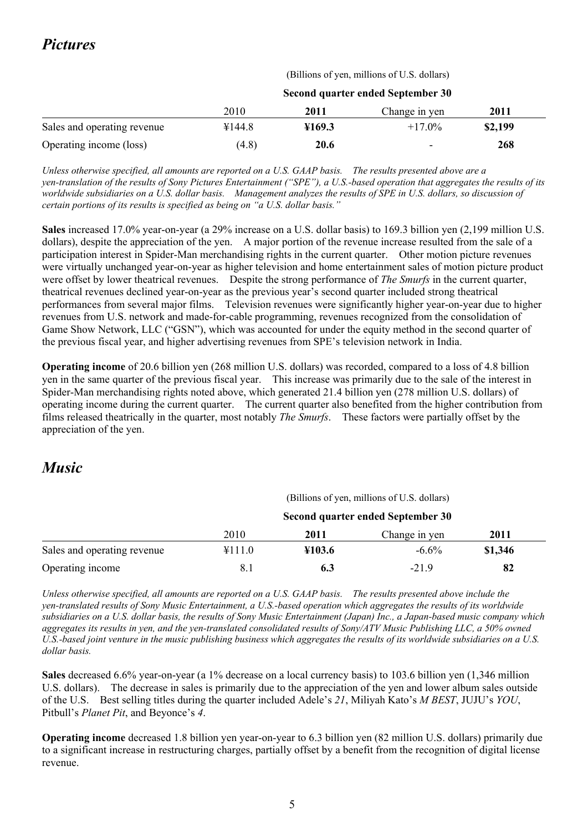# *Pictures*

(Billions of yen, millions of U.S. dollars)

## **Second quarter ended September 30**  2010 **2011** Change in yen **2011** Sales and operating revenue ¥144.8 **¥169.3** +17.0% **\$2,199**  Operating income (loss) (4.8) **20.6** - **268**

*Unless otherwise specified, all amounts are reported on a U.S. GAAP basis. The results presented above are a yen-translation of the results of Sony Pictures Entertainment ("SPE"), a U.S.-based operation that aggregates the results of its worldwide subsidiaries on a U.S. dollar basis. Management analyzes the results of SPE in U.S. dollars, so discussion of certain portions of its results is specified as being on "a U.S. dollar basis."* 

**Sales** increased 17.0% year-on-year (a 29% increase on a U.S. dollar basis) to 169.3 billion yen (2,199 million U.S. dollars), despite the appreciation of the yen. A major portion of the revenue increase resulted from the sale of a participation interest in Spider-Man merchandising rights in the current quarter. Other motion picture revenues were virtually unchanged year-on-year as higher television and home entertainment sales of motion picture product were offset by lower theatrical revenues. Despite the strong performance of *The Smurfs* in the current quarter, theatrical revenues declined year-on-year as the previous year's second quarter included strong theatrical performances from several major films. Television revenues were significantly higher year-on-year due to higher revenues from U.S. network and made-for-cable programming, revenues recognized from the consolidation of Game Show Network, LLC ("GSN"), which was accounted for under the equity method in the second quarter of the previous fiscal year, and higher advertising revenues from SPE's television network in India.

**Operating income** of 20.6 billion yen (268 million U.S. dollars) was recorded, compared to a loss of 4.8 billion yen in the same quarter of the previous fiscal year. This increase was primarily due to the sale of the interest in Spider-Man merchandising rights noted above, which generated 21.4 billion yen (278 million U.S. dollars) of operating income during the current quarter. The current quarter also benefited from the higher contribution from films released theatrically in the quarter, most notably *The Smurfs*. These factors were partially offset by the appreciation of the yen.

# *Music*

|                             | (Billions of yen, millions of U.S. dollars) |        |               |         |  |  |  |
|-----------------------------|---------------------------------------------|--------|---------------|---------|--|--|--|
|                             | Second quarter ended September 30           |        |               |         |  |  |  |
|                             | 2010                                        | 2011   | Change in yen | 2011    |  |  |  |
| Sales and operating revenue | ¥111.0                                      | ¥103.6 | $-6.6\%$      | \$1,346 |  |  |  |
| Operating income            | 8.1                                         | 6.3    | $-21.9$       | 82      |  |  |  |

*Unless otherwise specified, all amounts are reported on a U.S. GAAP basis. The results presented above include the yen-translated results of Sony Music Entertainment, a U.S.-based operation which aggregates the results of its worldwide subsidiaries on a U.S. dollar basis, the results of Sony Music Entertainment (Japan) Inc., a Japan-based music company which aggregates its results in yen, and the yen-translated consolidated results of Sony/ATV Music Publishing LLC, a 50% owned U.S.-based joint venture in the music publishing business which aggregates the results of its worldwide subsidiaries on a U.S. dollar basis.* 

**Sales** decreased 6.6% year-on-year (a 1% decrease on a local currency basis) to 103.6 billion yen (1,346 million U.S. dollars). The decrease in sales is primarily due to the appreciation of the yen and lower album sales outside of the U.S. Best selling titles during the quarter included Adele's *21*, Miliyah Kato's *M BEST*, JUJU's *YOU*, Pitbull's *Planet Pit*, and Beyonce's *4*.

**Operating income** decreased 1.8 billion yen year-on-year to 6.3 billion yen (82 million U.S. dollars) primarily due to a significant increase in restructuring charges, partially offset by a benefit from the recognition of digital license revenue.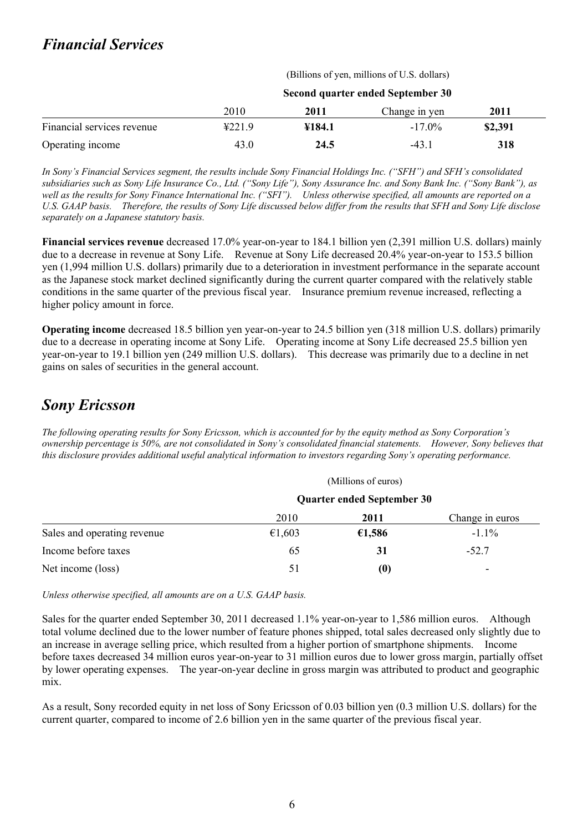# *Financial Services*

(Billions of yen, millions of U.S. dollars)

|                            | Second quarter ended September 30 |        |               |         |  |  |
|----------------------------|-----------------------------------|--------|---------------|---------|--|--|
|                            | 2010                              | 2011   | Change in yen | 2011    |  |  |
| Financial services revenue | ¥2219                             | ¥184.1 | $-17.0\%$     | \$2,391 |  |  |
| Operating income           | 43.0                              | 24.5   | $-43.1$       | 318     |  |  |

*In Sony's Financial Services segment, the results include Sony Financial Holdings Inc. ("SFH") and SFH's consolidated subsidiaries such as Sony Life Insurance Co., Ltd. ("Sony Life"), Sony Assurance Inc. and Sony Bank Inc. ("Sony Bank"), as well as the results for Sony Finance International Inc. ("SFI"). Unless otherwise specified, all amounts are reported on a U.S. GAAP basis. Therefore, the results of Sony Life discussed below differ from the results that SFH and Sony Life disclose separately on a Japanese statutory basis.* 

**Financial services revenue** decreased 17.0% year-on-year to 184.1 billion yen (2,391 million U.S. dollars) mainly due to a decrease in revenue at Sony Life. Revenue at Sony Life decreased 20.4% year-on-year to 153.5 billion yen (1,994 million U.S. dollars) primarily due to a deterioration in investment performance in the separate account as the Japanese stock market declined significantly during the current quarter compared with the relatively stable conditions in the same quarter of the previous fiscal year. Insurance premium revenue increased, reflecting a higher policy amount in force.

**Operating income** decreased 18.5 billion yen year-on-year to 24.5 billion yen (318 million U.S. dollars) primarily due to a decrease in operating income at Sony Life. Operating income at Sony Life decreased 25.5 billion yen year-on-year to 19.1 billion yen (249 million U.S. dollars). This decrease was primarily due to a decline in net gains on sales of securities in the general account.

# *Sony Ericsson*

*The following operating results for Sony Ericsson, which is accounted for by the equity method as Sony Corporation's ownership percentage is 50%, are not consolidated in Sony's consolidated financial statements. However, Sony believes that this disclosure provides additional useful analytical information to investors regarding Sony's operating performance.* 

|                             |                                   | (Millions of euros) |                          |  |  |
|-----------------------------|-----------------------------------|---------------------|--------------------------|--|--|
|                             | <b>Quarter ended September 30</b> |                     |                          |  |  |
|                             | 2010                              | 2011                | Change in euros          |  |  |
| Sales and operating revenue | €1,603                            | €1,586              | $-1.1\%$                 |  |  |
| Income before taxes         | 65                                | 31                  | $-52.7$                  |  |  |
| Net income (loss)           | 51                                | $\left(0\right)$    | $\overline{\phantom{0}}$ |  |  |

*Unless otherwise specified, all amounts are on a U.S. GAAP basis.* 

Sales for the quarter ended September 30, 2011 decreased 1.1% year-on-year to 1,586 million euros. Although total volume declined due to the lower number of feature phones shipped, total sales decreased only slightly due to an increase in average selling price, which resulted from a higher portion of smartphone shipments. Income before taxes decreased 34 million euros year-on-year to 31 million euros due to lower gross margin, partially offset by lower operating expenses. The year-on-year decline in gross margin was attributed to product and geographic mix.

As a result, Sony recorded equity in net loss of Sony Ericsson of 0.03 billion yen (0.3 million U.S. dollars) for the current quarter, compared to income of 2.6 billion yen in the same quarter of the previous fiscal year.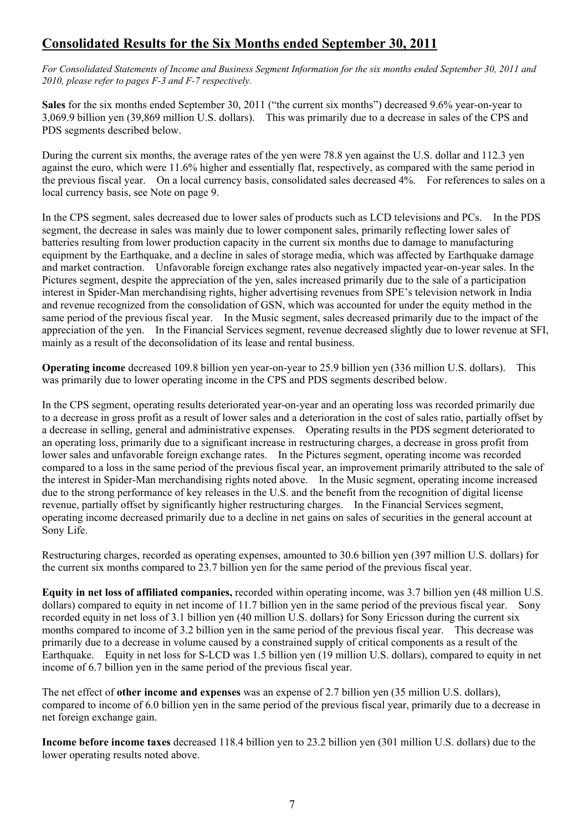## **Consolidated Results for the Six Months ended September 30, 2011**

*For Consolidated Statements of Income and Business Segment Information for the six months ended September 30, 2011 and 2010, please refer to pages F-3 and F-7 respectively.* 

**Sales** for the six months ended September 30, 2011 ("the current six months") decreased 9.6% year-on-year to 3,069.9 billion yen (39,869 million U.S. dollars). This was primarily due to a decrease in sales of the CPS and PDS segments described below.

During the current six months, the average rates of the yen were 78.8 yen against the U.S. dollar and 112.3 yen against the euro, which were 11.6% higher and essentially flat, respectively, as compared with the same period in the previous fiscal year. On a local currency basis, consolidated sales decreased 4%. For references to sales on a local currency basis, see Note on page 9.

In the CPS segment, sales decreased due to lower sales of products such as LCD televisions and PCs. In the PDS segment, the decrease in sales was mainly due to lower component sales, primarily reflecting lower sales of batteries resulting from lower production capacity in the current six months due to damage to manufacturing equipment by the Earthquake, and a decline in sales of storage media, which was affected by Earthquake damage and market contraction. Unfavorable foreign exchange rates also negatively impacted year-on-year sales. In the Pictures segment, despite the appreciation of the yen, sales increased primarily due to the sale of a participation interest in Spider-Man merchandising rights, higher advertising revenues from SPE's television network in India and revenue recognized from the consolidation of GSN, which was accounted for under the equity method in the same period of the previous fiscal year. In the Music segment, sales decreased primarily due to the impact of the appreciation of the yen. In the Financial Services segment, revenue decreased slightly due to lower revenue at SFI, mainly as a result of the deconsolidation of its lease and rental business.

**Operating income** decreased 109.8 billion yen year-on-year to 25.9 billion yen (336 million U.S. dollars). This was primarily due to lower operating income in the CPS and PDS segments described below.

In the CPS segment, operating results deteriorated year-on-year and an operating loss was recorded primarily due to a decrease in gross profit as a result of lower sales and a deterioration in the cost of sales ratio, partially offset by a decrease in selling, general and administrative expenses. Operating results in the PDS segment deteriorated to an operating loss, primarily due to a significant increase in restructuring charges, a decrease in gross profit from lower sales and unfavorable foreign exchange rates. In the Pictures segment, operating income was recorded compared to a loss in the same period of the previous fiscal year, an improvement primarily attributed to the sale of the interest in Spider-Man merchandising rights noted above. In the Music segment, operating income increased due to the strong performance of key releases in the U.S. and the benefit from the recognition of digital license revenue, partially offset by significantly higher restructuring charges. In the Financial Services segment, operating income decreased primarily due to a decline in net gains on sales of securities in the general account at Sony Life.

Restructuring charges, recorded as operating expenses, amounted to 30.6 billion yen (397 million U.S. dollars) for the current six months compared to 23.7 billion yen for the same period of the previous fiscal year.

**Equity in net loss of affiliated companies,** recorded within operating income, was 3.7 billion yen (48 million U.S. dollars) compared to equity in net income of 11.7 billion yen in the same period of the previous fiscal year. Sony recorded equity in net loss of 3.1 billion yen (40 million U.S. dollars) for Sony Ericsson during the current six months compared to income of 3.2 billion yen in the same period of the previous fiscal year. This decrease was primarily due to a decrease in volume caused by a constrained supply of critical components as a result of the Earthquake. Equity in net loss for S-LCD was 1.5 billion yen (19 million U.S. dollars), compared to equity in net income of 6.7 billion yen in the same period of the previous fiscal year.

The net effect of **other income and expenses** was an expense of 2.7 billion yen (35 million U.S. dollars), compared to income of 6.0 billion yen in the same period of the previous fiscal year, primarily due to a decrease in net foreign exchange gain.

**Income before income taxes** decreased 118.4 billion yen to 23.2 billion yen (301 million U.S. dollars) due to the lower operating results noted above.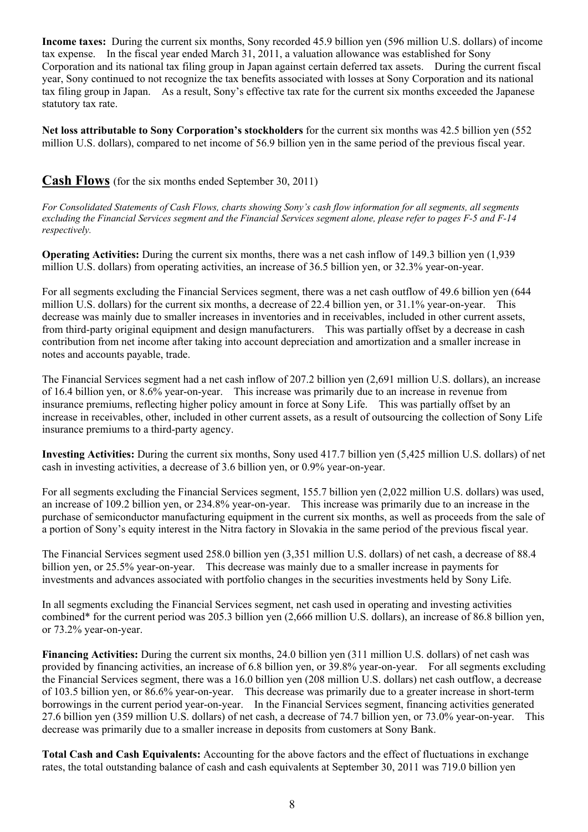**Income taxes:** During the current six months, Sony recorded 45.9 billion yen (596 million U.S. dollars) of income tax expense. In the fiscal year ended March 31, 2011, a valuation allowance was established for Sony Corporation and its national tax filing group in Japan against certain deferred tax assets. During the current fiscal year, Sony continued to not recognize the tax benefits associated with losses at Sony Corporation and its national tax filing group in Japan. As a result, Sony's effective tax rate for the current six months exceeded the Japanese statutory tax rate.

**Net loss attributable to Sony Corporation's stockholders** for the current six months was 42.5 billion yen (552 million U.S. dollars), compared to net income of 56.9 billion yen in the same period of the previous fiscal year.

## **Cash Flows** (for the six months ended September 30, 2011)

*For Consolidated Statements of Cash Flows, charts showing Sony's cash flow information for all segments, all segments excluding the Financial Services segment and the Financial Services segment alone, please refer to pages F-5 and F-14 respectively.* 

**Operating Activities:** During the current six months, there was a net cash inflow of 149.3 billion yen (1,939 million U.S. dollars) from operating activities, an increase of 36.5 billion yen, or 32.3% year-on-year.

For all segments excluding the Financial Services segment, there was a net cash outflow of 49.6 billion yen (644 million U.S. dollars) for the current six months, a decrease of 22.4 billion yen, or 31.1% year-on-year. This decrease was mainly due to smaller increases in inventories and in receivables, included in other current assets, from third-party original equipment and design manufacturers. This was partially offset by a decrease in cash contribution from net income after taking into account depreciation and amortization and a smaller increase in notes and accounts payable, trade.

The Financial Services segment had a net cash inflow of 207.2 billion yen (2,691 million U.S. dollars), an increase of 16.4 billion yen, or 8.6% year-on-year. This increase was primarily due to an increase in revenue from insurance premiums, reflecting higher policy amount in force at Sony Life. This was partially offset by an increase in receivables, other, included in other current assets, as a result of outsourcing the collection of Sony Life insurance premiums to a third-party agency.

**Investing Activities:** During the current six months, Sony used 417.7 billion yen (5,425 million U.S. dollars) of net cash in investing activities, a decrease of 3.6 billion yen, or 0.9% year-on-year.

For all segments excluding the Financial Services segment, 155.7 billion yen (2,022 million U.S. dollars) was used, an increase of 109.2 billion yen, or 234.8% year-on-year. This increase was primarily due to an increase in the purchase of semiconductor manufacturing equipment in the current six months, as well as proceeds from the sale of a portion of Sony's equity interest in the Nitra factory in Slovakia in the same period of the previous fiscal year.

The Financial Services segment used 258.0 billion yen (3,351 million U.S. dollars) of net cash, a decrease of 88.4 billion yen, or 25.5% year-on-year. This decrease was mainly due to a smaller increase in payments for investments and advances associated with portfolio changes in the securities investments held by Sony Life.

In all segments excluding the Financial Services segment, net cash used in operating and investing activities combined\* for the current period was 205.3 billion yen (2,666 million U.S. dollars), an increase of 86.8 billion yen, or 73.2% year-on-year.

**Financing Activities:** During the current six months, 24.0 billion yen (311 million U.S. dollars) of net cash was provided by financing activities, an increase of 6.8 billion yen, or 39.8% year-on-year. For all segments excluding the Financial Services segment, there was a 16.0 billion yen (208 million U.S. dollars) net cash outflow, a decrease of 103.5 billion yen, or 86.6% year-on-year. This decrease was primarily due to a greater increase in short-term borrowings in the current period year-on-year. In the Financial Services segment, financing activities generated 27.6 billion yen (359 million U.S. dollars) of net cash, a decrease of 74.7 billion yen, or 73.0% year-on-year. This decrease was primarily due to a smaller increase in deposits from customers at Sony Bank.

**Total Cash and Cash Equivalents:** Accounting for the above factors and the effect of fluctuations in exchange rates, the total outstanding balance of cash and cash equivalents at September 30, 2011 was 719.0 billion yen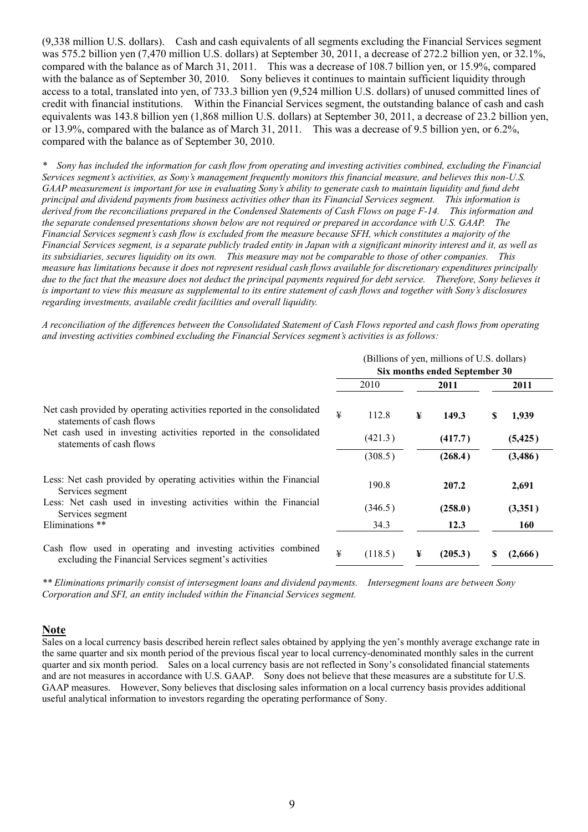(9,338 million U.S. dollars). Cash and cash equivalents of all segments excluding the Financial Services segment was 575.2 billion yen (7,470 million U.S. dollars) at September 30, 2011, a decrease of 272.2 billion yen, or 32.1%, compared with the balance as of March 31, 2011. This was a decrease of 108.7 billion yen, or 15.9%, compared with the balance as of September 30, 2010. Sony believes it continues to maintain sufficient liquidity through access to a total, translated into yen, of 733.3 billion yen (9,524 million U.S. dollars) of unused committed lines of credit with financial institutions. Within the Financial Services segment, the outstanding balance of cash and cash equivalents was 143.8 billion yen (1,868 million U.S. dollars) at September 30, 2011, a decrease of 23.2 billion yen, or 13.9%, compared with the balance as of March 31, 2011. This was a decrease of 9.5 billion yen, or 6.2%, compared with the balance as of September 30, 2010.

*\* Sony has included the information for cash flow from operating and investing activities combined, excluding the Financial Services segment's activities, as Sony's management frequently monitors this financial measure, and believes this non-U.S. GAAP measurement is important for use in evaluating Sony's ability to generate cash to maintain liquidity and fund debt principal and dividend payments from business activities other than its Financial Services segment. This information is derived from the reconciliations prepared in the Condensed Statements of Cash Flows on page F-14. This information and the separate condensed presentations shown below are not required or prepared in accordance with U.S. GAAP. The Financial Services segment's cash flow is excluded from the measure because SFH, which constitutes a majority of the Financial Services segment, is a separate publicly traded entity in Japan with a significant minority interest and it, as well as its subsidiaries, secures liquidity on its own. This measure may not be comparable to those of other companies. This measure has limitations because it does not represent residual cash flows available for discretionary expenditures principally due to the fact that the measure does not deduct the principal payments required for debt service. Therefore, Sony believes it is important to view this measure as supplemental to its entire statement of cash flows and together with Sony's disclosures regarding investments, available credit facilities and overall liquidity.* 

*A reconciliation of the differences between the Consolidated Statement of Cash Flows reported and cash flows from operating and investing activities combined excluding the Financial Services segment's activities is as follows:* 

|                                                                                                                        | (Billions of yen, millions of U.S. dollars)<br>Six months ended September 30 |         |   |         |   |          |
|------------------------------------------------------------------------------------------------------------------------|------------------------------------------------------------------------------|---------|---|---------|---|----------|
|                                                                                                                        |                                                                              | 2010    |   | 2011    |   | 2011     |
| Net cash provided by operating activities reported in the consolidated<br>statements of cash flows                     | ¥                                                                            | 112.8   | ¥ | 149.3   | S | 1,939    |
| Net cash used in investing activities reported in the consolidated<br>statements of cash flows                         |                                                                              | (421.3) |   | (417.7) |   | (5, 425) |
|                                                                                                                        |                                                                              | (308.5) |   | (268.4) |   | (3, 486) |
| Less: Net cash provided by operating activities within the Financial<br>Services segment                               |                                                                              | 190.8   |   | 207.2   |   | 2,691    |
| Less: Net cash used in investing activities within the Financial<br>Services segment                                   |                                                                              | (346.5) |   | (258.0) |   | (3,351)  |
| Eliminations **                                                                                                        |                                                                              | 34.3    |   | 12.3    |   | 160      |
| Cash flow used in operating and investing activities combined<br>excluding the Financial Services segment's activities | ¥                                                                            | (118.5) | ¥ | (205.3) | S | (2,666)  |

*\*\* Eliminations primarily consist of intersegment loans and dividend payments. Intersegment loans are between Sony Corporation and SFI, an entity included within the Financial Services segment.* 

### **Note**

Sales on a local currency basis described herein reflect sales obtained by applying the yen's monthly average exchange rate in the same quarter and six month period of the previous fiscal year to local currency-denominated monthly sales in the current quarter and six month period. Sales on a local currency basis are not reflected in Sony's consolidated financial statements and are not measures in accordance with U.S. GAAP. Sony does not believe that these measures are a substitute for U.S. GAAP measures. However, Sony believes that disclosing sales information on a local currency basis provides additional useful analytical information to investors regarding the operating performance of Sony.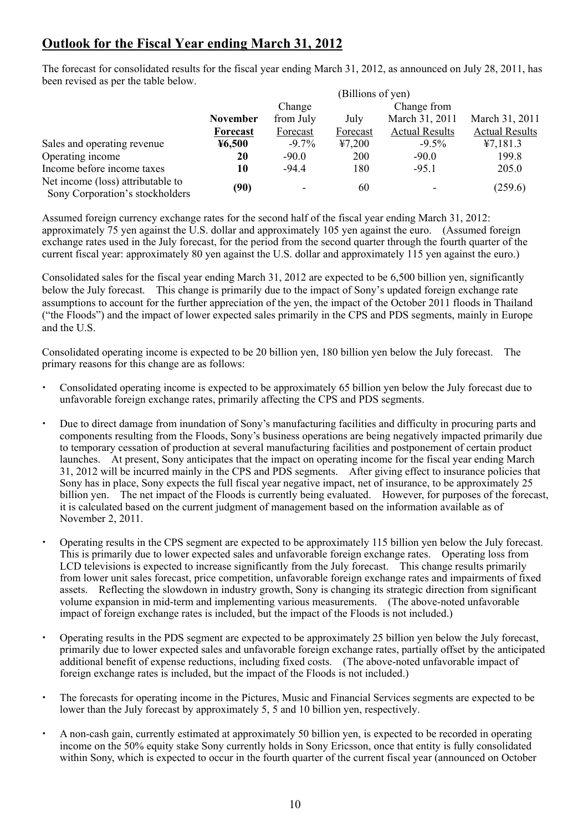## **Outlook for the Fiscal Year ending March 31, 2012**

The forecast for consolidated results for the fiscal year ending March 31, 2012, as announced on July 28, 2011, has been revised as per the table below.

|                                                                      | (Billions of yen) |                      |            |                       |                       |  |
|----------------------------------------------------------------------|-------------------|----------------------|------------|-----------------------|-----------------------|--|
|                                                                      |                   | Change               |            | Change from           |                       |  |
|                                                                      | <b>November</b>   | from July            | July       | March 31, 2011        | March 31, 2011        |  |
|                                                                      | Forecast          | Forecast<br>Forecast |            | <b>Actual Results</b> | <b>Actual Results</b> |  |
| Sales and operating revenue                                          | 46,500            | $-9.7\%$             | 47,200     | $-9.5\%$              | 47,181.3              |  |
| Operating income                                                     | 20                | $-90.0$              | <b>200</b> | $-90.0$               | 199.8                 |  |
| Income before income taxes                                           | 10                | $-94.4$              | 180        | $-95.1$               | 205.0                 |  |
| Net income (loss) attributable to<br>Sony Corporation's stockholders | (90)              | ۰                    | 60         |                       | (259.6)               |  |

Assumed foreign currency exchange rates for the second half of the fiscal year ending March 31, 2012: approximately 75 yen against the U.S. dollar and approximately 105 yen against the euro. (Assumed foreign exchange rates used in the July forecast, for the period from the second quarter through the fourth quarter of the current fiscal year: approximately 80 yen against the U.S. dollar and approximately 115 yen against the euro.)

Consolidated sales for the fiscal year ending March 31, 2012 are expected to be 6,500 billion yen, significantly below the July forecast. This change is primarily due to the impact of Sony's updated foreign exchange rate assumptions to account for the further appreciation of the yen, the impact of the October 2011 floods in Thailand ("the Floods") and the impact of lower expected sales primarily in the CPS and PDS segments, mainly in Europe and the U.S.

Consolidated operating income is expected to be 20 billion yen, 180 billion yen below the July forecast. The primary reasons for this change are as follows:

- x Consolidated operating income is expected to be approximately 65 billion yen below the July forecast due to unfavorable foreign exchange rates, primarily affecting the CPS and PDS segments.
- x Due to direct damage from inundation of Sony's manufacturing facilities and difficulty in procuring parts and components resulting from the Floods, Sony's business operations are being negatively impacted primarily due to temporary cessation of production at several manufacturing facilities and postponement of certain product launches. At present, Sony anticipates that the impact on operating income for the fiscal year ending March 31, 2012 will be incurred mainly in the CPS and PDS segments. After giving effect to insurance policies that Sony has in place, Sony expects the full fiscal year negative impact, net of insurance, to be approximately 25 billion yen. The net impact of the Floods is currently being evaluated. However, for purposes of the forecast, it is calculated based on the current judgment of management based on the information available as of November 2, 2011.
- Operating results in the CPS segment are expected to be approximately 115 billion yen below the July forecast. This is primarily due to lower expected sales and unfavorable foreign exchange rates. Operating loss from LCD televisions is expected to increase significantly from the July forecast. This change results primarily from lower unit sales forecast, price competition, unfavorable foreign exchange rates and impairments of fixed assets. Reflecting the slowdown in industry growth, Sony is changing its strategic direction from significant volume expansion in mid-term and implementing various measurements. (The above-noted unfavorable impact of foreign exchange rates is included, but the impact of the Floods is not included.)
- x Operating results in the PDS segment are expected to be approximately 25 billion yen below the July forecast, primarily due to lower expected sales and unfavorable foreign exchange rates, partially offset by the anticipated additional benefit of expense reductions, including fixed costs. (The above-noted unfavorable impact of foreign exchange rates is included, but the impact of the Floods is not included.)
- The forecasts for operating income in the Pictures, Music and Financial Services segments are expected to be lower than the July forecast by approximately 5, 5 and 10 billion yen, respectively.
- x A non-cash gain, currently estimated at approximately 50 billion yen, is expected to be recorded in operating income on the 50% equity stake Sony currently holds in Sony Ericsson, once that entity is fully consolidated within Sony, which is expected to occur in the fourth quarter of the current fiscal year (announced on October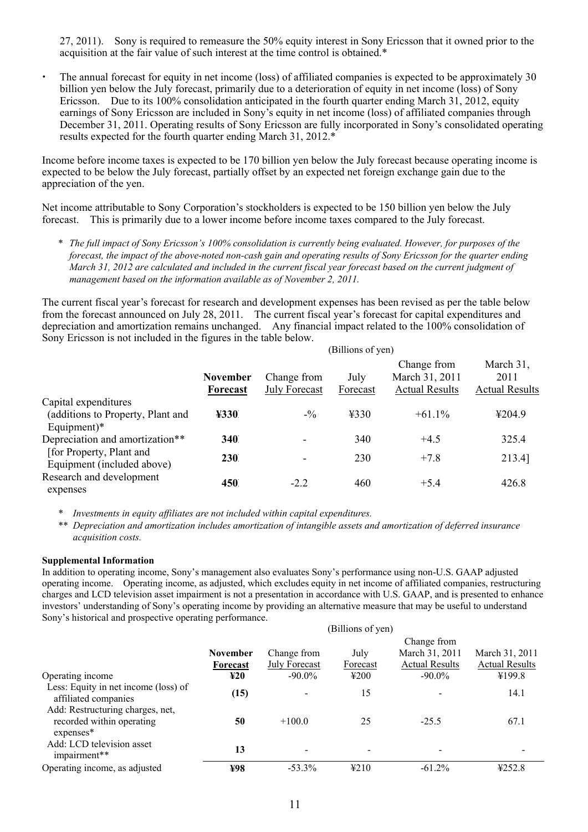27, 2011). Sony is required to remeasure the 50% equity interest in Sony Ericsson that it owned prior to the acquisition at the fair value of such interest at the time control is obtained.\*

The annual forecast for equity in net income (loss) of affiliated companies is expected to be approximately 30 billion yen below the July forecast, primarily due to a deterioration of equity in net income (loss) of Sony Ericsson. Due to its 100% consolidation anticipated in the fourth quarter ending March 31, 2012, equity earnings of Sony Ericsson are included in Sony's equity in net income (loss) of affiliated companies through December 31, 2011. Operating results of Sony Ericsson are fully incorporated in Sony's consolidated operating results expected for the fourth quarter ending March 31, 2012.\*

Income before income taxes is expected to be 170 billion yen below the July forecast because operating income is expected to be below the July forecast, partially offset by an expected net foreign exchange gain due to the appreciation of the yen.

Net income attributable to Sony Corporation's stockholders is expected to be 150 billion yen below the July forecast. This is primarily due to a lower income before income taxes compared to the July forecast.

*\* The full impact of Sony Ericsson's 100% consolidation is currently being evaluated. However, for purposes of the forecast, the impact of the above-noted non-cash gain and operating results of Sony Ericsson for the quarter ending March 31, 2012 are calculated and included in the current fiscal year forecast based on the current judgment of management based on the information available as of November 2, 2011.* 

The current fiscal year's forecast for research and development expenses has been revised as per the table below from the forecast announced on July 28, 2011. The current fiscal year's forecast for capital expenditures and depreciation and amortization remains unchanged. Any financial impact related to the 100% consolidation of Sony Ericsson is not included in the figures in the table below.

|                                                                             |                             |                                     | (Billions of yen) |                                                        |                                            |
|-----------------------------------------------------------------------------|-----------------------------|-------------------------------------|-------------------|--------------------------------------------------------|--------------------------------------------|
|                                                                             | <b>November</b><br>Forecast | Change from<br><b>July Forecast</b> | July<br>Forecast  | Change from<br>March 31, 2011<br><b>Actual Results</b> | March 31,<br>2011<br><b>Actual Results</b> |
| Capital expenditures<br>(additions to Property, Plant and<br>Equipment) $*$ | ¥330                        | $-9/0$                              | ¥330              | $+61.1\%$                                              | ¥204.9                                     |
| Depreciation and amortization**                                             | <b>340</b>                  | $\overline{\phantom{a}}$            | 340               | $+4.5$                                                 | 325.4                                      |
| [for Property, Plant and<br>Equipment (included above)                      | <b>230</b>                  | ۰                                   | 230               | $+7.8$                                                 | 213.4]                                     |
| Research and development<br>expenses                                        | 450                         | $-2.2$                              | 460               | $+5.4$                                                 | 426.8                                      |

*\* Investments in equity affiliates are not included within capital expenditures.* 

*\*\* Depreciation and amortization includes amortization of intangible assets and amortization of deferred insurance acquisition costs.* 

#### **Supplemental Information**

In addition to operating income, Sony's management also evaluates Sony's performance using non-U.S. GAAP adjusted operating income. Operating income, as adjusted, which excludes equity in net income of affiliated companies, restructuring charges and LCD television asset impairment is not a presentation in accordance with U.S. GAAP, and is presented to enhance investors' understanding of Sony's operating income by providing an alternative measure that may be useful to understand Sony's historical and prospective operating performance.

|                                                                            | (Billions of yen)           |                              |                  |                                                        |                                         |  |  |  |
|----------------------------------------------------------------------------|-----------------------------|------------------------------|------------------|--------------------------------------------------------|-----------------------------------------|--|--|--|
|                                                                            | <b>November</b><br>Forecast | Change from<br>July Forecast | July<br>Forecast | Change from<br>March 31, 2011<br><b>Actual Results</b> | March 31, 2011<br><b>Actual Results</b> |  |  |  |
| Operating income                                                           | ¥20                         | $-90.0\%$                    | 4200             | $-90.0\%$                                              | ¥199.8                                  |  |  |  |
| Less: Equity in net income (loss) of<br>affiliated companies               | (15)                        |                              | 15               |                                                        | 14.1                                    |  |  |  |
| Add: Restructuring charges, net,<br>recorded within operating<br>expenses* | 50                          | $+100.0$                     | 25               | $-25.5$                                                | 67.1                                    |  |  |  |
| Add: LCD television asset<br>impairment**                                  | 13                          |                              |                  |                                                        |                                         |  |  |  |
| Operating income, as adjusted                                              | ¥98                         | $-53.3\%$                    | 4210             | $-61.2\%$                                              | 4252.8                                  |  |  |  |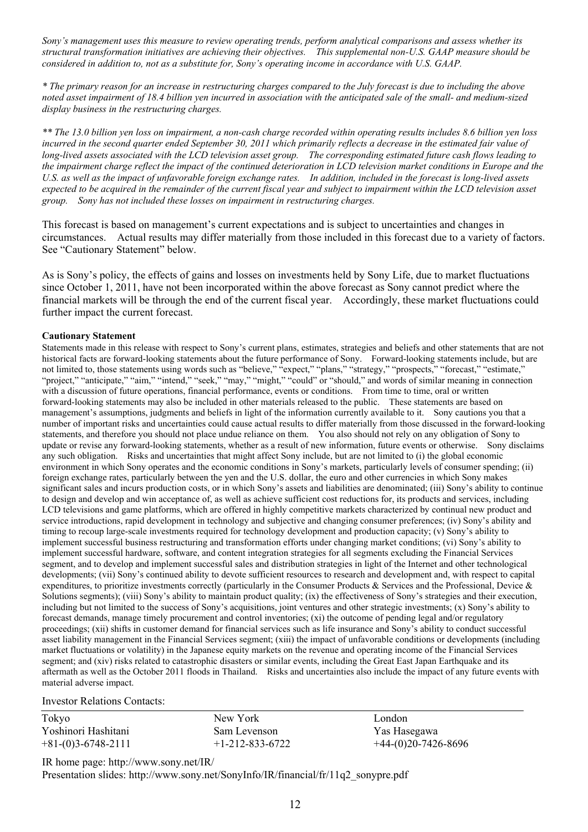*Sony's management uses this measure to review operating trends, perform analytical comparisons and assess whether its structural transformation initiatives are achieving their objectives. This supplemental non-U.S. GAAP measure should be considered in addition to, not as a substitute for, Sony's operating income in accordance with U.S. GAAP.* 

*\* The primary reason for an increase in restructuring charges compared to the July forecast is due to including the above noted asset impairment of 18.4 billion yen incurred in association with the anticipated sale of the small- and medium-sized display business in the restructuring charges.* 

*\*\* The 13.0 billion yen loss on impairment, a non-cash charge recorded within operating results includes 8.6 billion yen loss incurred in the second quarter ended September 30, 2011 which primarily reflects a decrease in the estimated fair value of long-lived assets associated with the LCD television asset group. The corresponding estimated future cash flows leading to the impairment charge reflect the impact of the continued deterioration in LCD television market conditions in Europe and the U.S. as well as the impact of unfavorable foreign exchange rates. In addition, included in the forecast is long-lived assets expected to be acquired in the remainder of the current fiscal year and subject to impairment within the LCD television asset group. Sony has not included these losses on impairment in restructuring charges.*

This forecast is based on management's current expectations and is subject to uncertainties and changes in circumstances. Actual results may differ materially from those included in this forecast due to a variety of factors. See "Cautionary Statement" below.

As is Sony's policy, the effects of gains and losses on investments held by Sony Life, due to market fluctuations since October 1, 2011, have not been incorporated within the above forecast as Sony cannot predict where the financial markets will be through the end of the current fiscal year. Accordingly, these market fluctuations could further impact the current forecast.

#### **Cautionary Statement**

Statements made in this release with respect to Sony's current plans, estimates, strategies and beliefs and other statements that are not historical facts are forward-looking statements about the future performance of Sony. Forward-looking statements include, but are not limited to, those statements using words such as "believe," "expect," "plans," "strategy," "prospects," "forecast," "estimate," "project," "anticipate," "aim," "intend," "seek," "may," "might," "could" or "should," and words of similar meaning in connection with a discussion of future operations, financial performance, events or conditions. From time to time, oral or written forward-looking statements may also be included in other materials released to the public. These statements are based on management's assumptions, judgments and beliefs in light of the information currently available to it. Sony cautions you that a number of important risks and uncertainties could cause actual results to differ materially from those discussed in the forward-looking statements, and therefore you should not place undue reliance on them. You also should not rely on any obligation of Sony to update or revise any forward-looking statements, whether as a result of new information, future events or otherwise. Sony disclaims any such obligation. Risks and uncertainties that might affect Sony include, but are not limited to (i) the global economic environment in which Sony operates and the economic conditions in Sony's markets, particularly levels of consumer spending; (ii) foreign exchange rates, particularly between the yen and the U.S. dollar, the euro and other currencies in which Sony makes significant sales and incurs production costs, or in which Sony's assets and liabilities are denominated; (iii) Sony's ability to continue to design and develop and win acceptance of, as well as achieve sufficient cost reductions for, its products and services, including LCD televisions and game platforms, which are offered in highly competitive markets characterized by continual new product and service introductions, rapid development in technology and subjective and changing consumer preferences; (iv) Sony's ability and timing to recoup large-scale investments required for technology development and production capacity; (v) Sony's ability to implement successful business restructuring and transformation efforts under changing market conditions; (vi) Sony's ability to implement successful hardware, software, and content integration strategies for all segments excluding the Financial Services segment, and to develop and implement successful sales and distribution strategies in light of the Internet and other technological developments; (vii) Sony's continued ability to devote sufficient resources to research and development and, with respect to capital expenditures, to prioritize investments correctly (particularly in the Consumer Products & Services and the Professional, Device & Solutions segments); (viii) Sony's ability to maintain product quality; (ix) the effectiveness of Sony's strategies and their execution, including but not limited to the success of Sony's acquisitions, joint ventures and other strategic investments; (x) Sony's ability to forecast demands, manage timely procurement and control inventories; (xi) the outcome of pending legal and/or regulatory proceedings; (xii) shifts in customer demand for financial services such as life insurance and Sony's ability to conduct successful asset liability management in the Financial Services segment; (xiii) the impact of unfavorable conditions or developments (including market fluctuations or volatility) in the Japanese equity markets on the revenue and operating income of the Financial Services segment; and (xiv) risks related to catastrophic disasters or similar events, including the Great East Japan Earthquake and its aftermath as well as the October 2011 floods in Thailand. Risks and uncertainties also include the impact of any future events with material adverse impact.

Investor Relations Contacts:

Tokyo New York **London** Yoshinori Hashitani Sam Levenson Yas Hasegawa

l

 $+81-(0)3-6748-2111$   $+1-212-833-6722$   $+44-(0)20-7426-8696$ 

IR home page: http://www.sony.net/IR/ Presentation slides: http://www.sony.net/SonyInfo/IR/financial/fr/11q2\_sonypre.pdf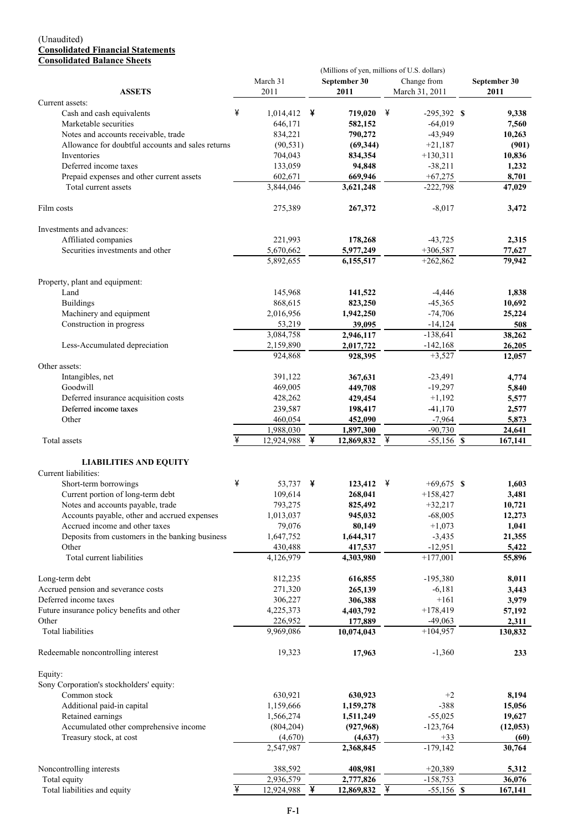#### (Unaudited) **Consolidated Financial Statements Consolidated Balance Sheets**

|                                                     |   |            |                         |              |   | (Millions of yen, millions of U.S. dollars) |  |              |
|-----------------------------------------------------|---|------------|-------------------------|--------------|---|---------------------------------------------|--|--------------|
|                                                     |   | March 31   |                         | September 30 |   | Change from                                 |  | September 30 |
| <b>ASSETS</b>                                       |   | 2011       |                         | 2011         |   | March 31, 2011                              |  | 2011         |
| Current assets:                                     |   |            |                         |              |   |                                             |  |              |
| Cash and cash equivalents                           | ¥ | 1,014,412  | ¥                       | 719,020      | ¥ | $-295,392$ \$                               |  | 9,338        |
| Marketable securities                               |   | 646,171    |                         | 582,152      |   | $-64,019$                                   |  | 7,560        |
| Notes and accounts receivable, trade                |   | 834,221    |                         | 790,272      |   | $-43,949$                                   |  | 10,263       |
| Allowance for doubtful accounts and sales returns   |   | (90, 531)  |                         | (69, 344)    |   | $+21,187$                                   |  | (901)        |
| Inventories                                         |   | 704,043    |                         | 834,354      |   | $+130,311$                                  |  | 10,836       |
| Deferred income taxes                               |   | 133,059    |                         | 94,848       |   | $-38,211$                                   |  | 1,232        |
| Prepaid expenses and other current assets           |   | 602,671    |                         | 669,946      |   | $+67,275$                                   |  | 8,701        |
| Total current assets                                |   | 3,844,046  |                         | 3,621,248    |   | $-222,798$                                  |  | 47,029       |
| Film costs                                          |   | 275,389    |                         | 267,372      |   | $-8,017$                                    |  | 3,472        |
| Investments and advances:                           |   |            |                         |              |   |                                             |  |              |
| Affiliated companies                                |   | 221,993    |                         | 178,268      |   | $-43,725$                                   |  | 2,315        |
| Securities investments and other                    |   | 5,670,662  |                         | 5,977,249    |   | $+306,587$                                  |  | 77,627       |
|                                                     |   | 5,892,655  |                         | 6,155,517    |   | $+262,862$                                  |  | 79,942       |
|                                                     |   |            |                         |              |   |                                             |  |              |
| Property, plant and equipment:                      |   |            |                         |              |   |                                             |  |              |
| Land                                                |   | 145,968    |                         | 141,522      |   | $-4,446$                                    |  | 1.838        |
| <b>Buildings</b>                                    |   | 868,615    |                         | 823,250      |   | $-45,365$                                   |  | 10,692       |
| Machinery and equipment                             |   | 2,016,956  |                         | 1,942,250    |   | $-74,706$                                   |  | 25,224       |
| Construction in progress                            |   | 53,219     |                         | 39,095       |   | $-14,124$                                   |  | 508          |
|                                                     |   | 3,084,758  |                         | 2,946,117    |   | $-138,641$                                  |  | 38,262       |
| Less-Accumulated depreciation                       |   | 2,159,890  |                         | 2,017,722    |   | $-142,168$                                  |  | 26,205       |
|                                                     |   | 924,868    |                         | 928,395      |   | $+3,527$                                    |  | 12,057       |
| Other assets:                                       |   |            |                         |              |   |                                             |  |              |
| Intangibles, net                                    |   | 391,122    |                         | 367,631      |   | $-23,491$                                   |  | 4,774        |
| Goodwill                                            |   | 469,005    |                         | 449,708      |   | $-19,297$                                   |  | 5,840        |
| Deferred insurance acquisition costs                |   | 428,262    |                         | 429,454      |   | $+1,192$                                    |  | 5,577        |
| Deferred income taxes                               |   | 239,587    |                         | 198,417      |   | $-41,170$                                   |  | 2,577        |
| Other                                               |   | 460,054    |                         | 452,090      |   | $-7,964$                                    |  | 5,873        |
|                                                     |   | 1,988,030  |                         | 1,897,300    |   | $-90,730$                                   |  | 24,641       |
| Total assets                                        | ¥ | 12,924,988 | $\overline{\mathbf{Y}}$ | 12,869,832   | ¥ | $-55,156$ \$                                |  | 167,141      |
|                                                     |   |            |                         |              |   |                                             |  |              |
| <b>LIABILITIES AND EQUITY</b>                       |   |            |                         |              |   |                                             |  |              |
| Current liabilities:                                |   |            |                         |              |   |                                             |  |              |
| Short-term borrowings                               | ¥ | 53,737     | ¥                       | 123,412      | ¥ | $+69,675$ \$                                |  | 1,603        |
| Current portion of long-term debt                   |   | 109,614    |                         | 268,041      |   | $+158,427$                                  |  | 3,481        |
| Notes and accounts payable, trade                   |   | 793,275    |                         | 825,492      |   | $+32,217$                                   |  | 10,721       |
| Accounts payable, other and accrued expenses        |   | 1,013,037  |                         | 945,032      |   | $-68,005$                                   |  | 12,273       |
| Accrued income and other taxes                      |   | 79,076     |                         | 80,149       |   | $+1,073$                                    |  | 1,041        |
| Deposits from customers in the banking business     |   | 1,647,752  |                         | 1,644,317    |   | $-3,435$                                    |  | 21,355       |
| Other                                               |   | 430,488    |                         | 417,537      |   | $-12,951$                                   |  | 5,422        |
| Total current liabilities                           |   | 4,126,979  |                         | 4,303,980    |   | $+177,001$                                  |  | 55,896       |
|                                                     |   |            |                         |              |   |                                             |  |              |
| Long-term debt                                      |   | 812,235    |                         | 616,855      |   | $-195,380$                                  |  | 8,011        |
| Accrued pension and severance costs                 |   | 271,320    |                         | 265,139      |   | $-6,181$                                    |  | 3,443        |
| Deferred income taxes                               |   | 306,227    |                         | 306,388      |   | $+161$                                      |  | 3,979        |
| Future insurance policy benefits and other          |   | 4,225,373  |                         | 4,403,792    |   | $+178,419$                                  |  | 57,192       |
| Other                                               |   | 226,952    |                         | 177,889      |   | $-49,063$                                   |  | 2,311        |
| <b>Total liabilities</b>                            |   | 9,969,086  |                         | 10,074,043   |   | $+104,957$                                  |  | 130,832      |
| Redeemable noncontrolling interest                  |   | 19,323     |                         | 17,963       |   | $-1,360$                                    |  | 233          |
|                                                     |   |            |                         |              |   |                                             |  |              |
| Equity:<br>Sony Corporation's stockholders' equity: |   |            |                         |              |   |                                             |  |              |
|                                                     |   |            |                         |              |   |                                             |  |              |
| Common stock                                        |   | 630,921    |                         | 630,923      |   | $+2$                                        |  | 8,194        |
| Additional paid-in capital                          |   | 1,159,666  |                         | 1,159,278    |   | $-388$                                      |  | 15,056       |
| Retained earnings                                   |   | 1,566,274  |                         | 1,511,249    |   | $-55,025$                                   |  | 19,627       |
| Accumulated other comprehensive income              |   | (804, 204) |                         | (927, 968)   |   | $-123,764$                                  |  | (12,053)     |
| Treasury stock, at cost                             |   | (4,670)    |                         | (4,637)      |   | $+33$                                       |  | (60)         |
|                                                     |   | 2,547,987  |                         | 2,368,845    |   | $-179,142$                                  |  | 30,764       |
| Noncontrolling interests                            |   | 388,592    |                         | 408,981      |   | $+20,389$                                   |  | 5,312        |
| Total equity                                        |   | 2,936,579  |                         | 2,777,826    |   | $-158,753$                                  |  | 36,076       |
| Total liabilities and equity                        | ¥ | 12,924,988 | $\overline{\mathbf{Y}}$ | 12,869,832   | ¥ | $-55,156$ \$                                |  | 167,141      |
|                                                     |   |            |                         |              |   |                                             |  |              |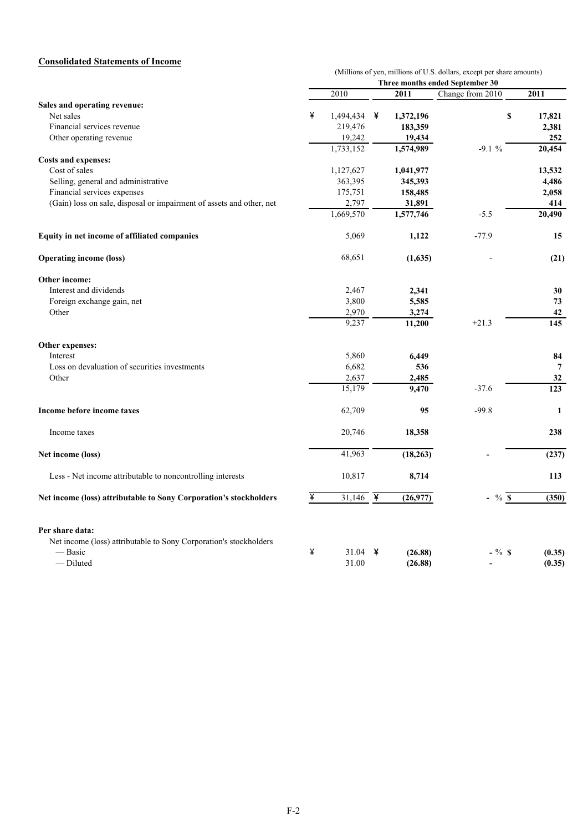## **Consolidated Statements of Income**

|                                                                                                              |   |                |                         |                    | (Millions of yen, millions of U.S. dollars, except per share amounts) |                  |
|--------------------------------------------------------------------------------------------------------------|---|----------------|-------------------------|--------------------|-----------------------------------------------------------------------|------------------|
|                                                                                                              |   |                |                         |                    | Three months ended September 30                                       |                  |
|                                                                                                              |   | 2010           |                         | 2011               | Change from 2010                                                      | 2011             |
| Sales and operating revenue:                                                                                 |   |                |                         |                    |                                                                       |                  |
| Net sales                                                                                                    | ¥ | 1,494,434      | ¥                       | 1,372,196          | \$                                                                    | 17,821           |
| Financial services revenue                                                                                   |   | 219,476        |                         | 183,359            |                                                                       | 2,381            |
| Other operating revenue                                                                                      |   | 19,242         |                         | 19,434             |                                                                       | 252              |
|                                                                                                              |   | 1,733,152      |                         | 1,574,989          | $-9.1%$                                                               | 20,454           |
| Costs and expenses:                                                                                          |   |                |                         |                    |                                                                       |                  |
| Cost of sales                                                                                                |   | 1,127,627      |                         | 1,041,977          |                                                                       | 13,532           |
| Selling, general and administrative                                                                          |   | 363,395        |                         | 345,393            |                                                                       | 4,486            |
| Financial services expenses                                                                                  |   | 175,751        |                         | 158,485            |                                                                       | 2,058            |
| (Gain) loss on sale, disposal or impairment of assets and other, net                                         |   | 2,797          |                         | 31,891             |                                                                       | 414              |
|                                                                                                              |   | 1,669,570      |                         | 1,577,746          | $-5.5$                                                                | 20,490           |
| Equity in net income of affiliated companies                                                                 |   | 5,069          |                         | 1,122              | $-77.9$                                                               | 15               |
| <b>Operating income (loss)</b>                                                                               |   | 68,651         |                         | (1,635)            |                                                                       | (21)             |
| Other income:                                                                                                |   |                |                         |                    |                                                                       |                  |
| Interest and dividends                                                                                       |   | 2,467          |                         | 2,341              |                                                                       | 30               |
| Foreign exchange gain, net                                                                                   |   | 3,800          |                         | 5,585              |                                                                       | 73               |
| Other                                                                                                        |   | 2,970          |                         | 3,274              |                                                                       | $42\,$           |
|                                                                                                              |   | 9,237          |                         | 11,200             | $+21.3$                                                               | 145              |
| Other expenses:                                                                                              |   |                |                         |                    |                                                                       |                  |
| Interest                                                                                                     |   | 5,860          |                         | 6,449              |                                                                       | 84               |
| Loss on devaluation of securities investments                                                                |   | 6,682          |                         | 536                |                                                                       | $\overline{7}$   |
| Other                                                                                                        |   | 2,637          |                         | 2,485              |                                                                       | 32               |
|                                                                                                              |   | 15,179         |                         | 9,470              | $-37.6$                                                               | $\overline{123}$ |
| Income before income taxes                                                                                   |   | 62,709         |                         | 95                 | $-99.8$                                                               | 1                |
| Income taxes                                                                                                 |   | 20,746         |                         | 18,358             |                                                                       | 238              |
| Net income (loss)                                                                                            |   | 41,963         |                         | (18, 263)          |                                                                       | (237)            |
| Less - Net income attributable to noncontrolling interests                                                   |   | 10,817         |                         | 8,714              |                                                                       | 113              |
| Net income (loss) attributable to Sony Corporation's stockholders                                            | ¥ | 31,146         | $\overline{\mathbf{X}}$ | (26,977)           | $-$ % \$                                                              | (350)            |
| Per share data:<br>Net income (loss) attributable to Sony Corporation's stockholders<br>— Basic<br>— Diluted | ¥ | 31.04<br>31.00 | ¥                       | (26.88)<br>(26.88) | $-$ % \$                                                              | (0.35)<br>(0.35) |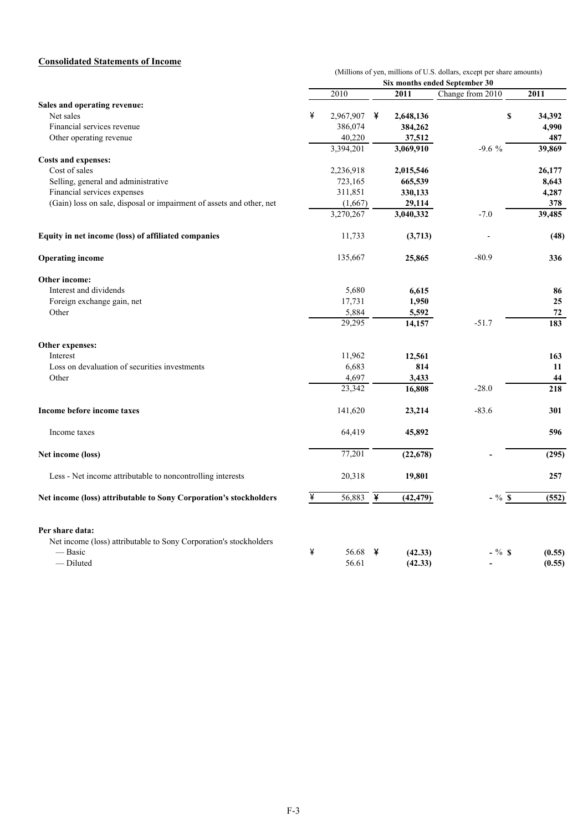### **Consolidated Statements of Income**

|                                                                                                 |                                                                   |               |                         |           | (Millions of yen, millions of U.S. dollars, except per share amounts) |            |
|-------------------------------------------------------------------------------------------------|-------------------------------------------------------------------|---------------|-------------------------|-----------|-----------------------------------------------------------------------|------------|
|                                                                                                 | Six months ended September 30<br>2010<br>Change from 2010<br>2011 |               |                         |           |                                                                       |            |
|                                                                                                 |                                                                   |               |                         |           |                                                                       | 2011       |
| Sales and operating revenue:                                                                    |                                                                   |               |                         |           |                                                                       |            |
| Net sales                                                                                       | ¥                                                                 | $2,967,907$ ¥ |                         | 2,648,136 | $\mathbb S$                                                           | 34,392     |
| Financial services revenue                                                                      |                                                                   | 386,074       |                         | 384,262   |                                                                       | 4,990      |
| Other operating revenue                                                                         |                                                                   | 40,220        |                         | 37,512    |                                                                       | 487        |
|                                                                                                 |                                                                   | 3,394,201     |                         | 3,069,910 | $-9.6%$                                                               | 39,869     |
| Costs and expenses:                                                                             |                                                                   |               |                         |           |                                                                       |            |
| Cost of sales                                                                                   |                                                                   | 2,236,918     |                         | 2,015,546 |                                                                       | 26,177     |
| Selling, general and administrative                                                             |                                                                   | 723,165       |                         | 665,539   |                                                                       | 8,643      |
| Financial services expenses                                                                     |                                                                   | 311,851       |                         | 330,133   |                                                                       | 4,287      |
| (Gain) loss on sale, disposal or impairment of assets and other, net                            |                                                                   | (1,667)       |                         | 29,114    |                                                                       | 378        |
|                                                                                                 |                                                                   | 3,270,267     |                         | 3,040,332 | $-7.0$                                                                | 39,485     |
| Equity in net income (loss) of affiliated companies                                             |                                                                   | 11,733        |                         | (3,713)   |                                                                       | (48)       |
| <b>Operating income</b>                                                                         |                                                                   | 135,667       |                         | 25,865    | $-80.9$                                                               | 336        |
| Other income:                                                                                   |                                                                   |               |                         |           |                                                                       |            |
| Interest and dividends                                                                          |                                                                   | 5,680         |                         | 6,615     |                                                                       | 86         |
| Foreign exchange gain, net                                                                      |                                                                   | 17,731        |                         | 1,950     |                                                                       | 25         |
| Other                                                                                           |                                                                   | 5,884         |                         | 5,592     |                                                                       | ${\bf 72}$ |
|                                                                                                 |                                                                   | 29,295        |                         | 14,157    | $-51.7$                                                               | 183        |
| Other expenses:                                                                                 |                                                                   |               |                         |           |                                                                       |            |
| Interest                                                                                        |                                                                   | 11,962        |                         | 12,561    |                                                                       | 163        |
| Loss on devaluation of securities investments                                                   |                                                                   | 6,683         |                         | 814       |                                                                       | 11         |
| Other                                                                                           |                                                                   | 4,697         |                         | 3,433     |                                                                       | 44         |
|                                                                                                 |                                                                   | 23,342        |                         | 16,808    | $-28.0$                                                               | 218        |
| Income before income taxes                                                                      |                                                                   | 141,620       |                         | 23,214    | $-83.6$                                                               | 301        |
| Income taxes                                                                                    |                                                                   | 64,419        |                         | 45,892    |                                                                       | 596        |
| Net income (loss)                                                                               |                                                                   | 77,201        |                         | (22, 678) |                                                                       | (295)      |
| Less - Net income attributable to noncontrolling interests                                      |                                                                   | 20,318        |                         | 19,801    |                                                                       | 257        |
| Net income (loss) attributable to Sony Corporation's stockholders                               | $\overline{\mathbf{y}}$                                           | 56,883        | $\overline{\mathbf{r}}$ | (42, 479) | - % $\mathbb S$                                                       | (552)      |
| Per share data:<br>Net income (loss) attributable to Sony Corporation's stockholders<br>— Basic | ¥                                                                 | 56.68         | ¥                       | (42.33)   | $-$ % \$                                                              | (0.55)     |
| — Diluted                                                                                       |                                                                   | 56.61         |                         | (42.33)   |                                                                       | (0.55)     |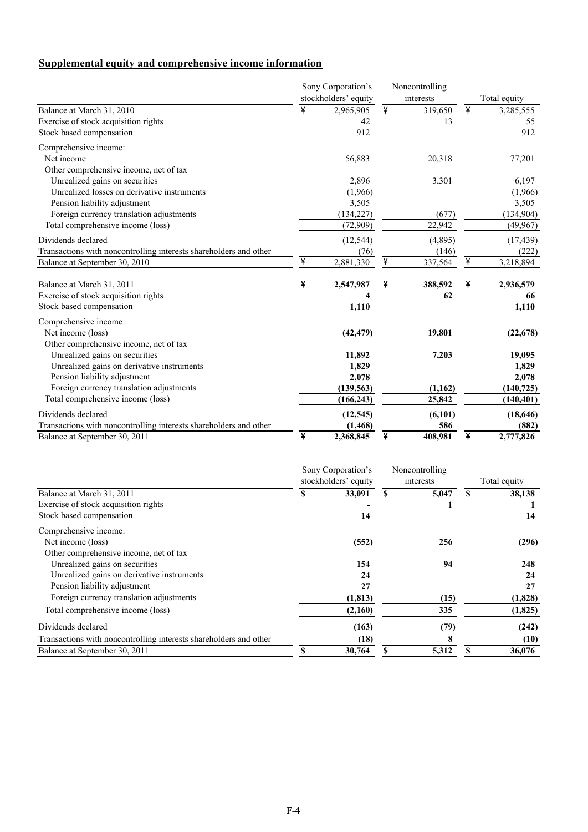## **Supplemental equity and comprehensive income information**

|                                                                   |   | Sony Corporation's   | Noncontrolling |           |   |              |
|-------------------------------------------------------------------|---|----------------------|----------------|-----------|---|--------------|
|                                                                   |   | stockholders' equity |                | interests |   | Total equity |
| Balance at March 31, 2010                                         | ¥ | 2,965,905            | ¥              | 319,650   | ¥ | 3,285,555    |
| Exercise of stock acquisition rights                              |   | 42                   |                | 13        |   | 55           |
| Stock based compensation                                          |   | 912                  |                |           |   | 912          |
| Comprehensive income:                                             |   |                      |                |           |   |              |
| Net income                                                        |   | 56,883               |                | 20,318    |   | 77,201       |
| Other comprehensive income, net of tax                            |   |                      |                |           |   |              |
| Unrealized gains on securities                                    |   | 2,896                |                | 3,301     |   | 6,197        |
| Unrealized losses on derivative instruments                       |   | (1,966)              |                |           |   | (1,966)      |
| Pension liability adjustment                                      |   | 3,505                |                |           |   | 3,505        |
| Foreign currency translation adjustments                          |   | (134, 227)           |                | (677)     |   | (134,904)    |
| Total comprehensive income (loss)                                 |   | (72,909)             |                | 22,942    |   | (49, 967)    |
| Dividends declared                                                |   | (12, 544)            |                | (4,895)   |   | (17, 439)    |
| Transactions with noncontrolling interests shareholders and other |   | (76)                 |                | (146)     |   | (222)        |
| Balance at September 30, 2010                                     | ¥ | 2,881,330            | ¥              | 337,564   | ¥ | 3,218,894    |
| Balance at March 31, 2011                                         | ¥ | 2,547,987            | ¥              | 388,592   | ¥ | 2,936,579    |
| Exercise of stock acquisition rights                              |   | 4                    |                | 62        |   | 66           |
| Stock based compensation                                          |   | 1,110                |                |           |   | 1,110        |
| Comprehensive income:                                             |   |                      |                |           |   |              |
| Net income (loss)                                                 |   | (42, 479)            |                | 19,801    |   | (22, 678)    |
| Other comprehensive income, net of tax                            |   |                      |                |           |   |              |
| Unrealized gains on securities                                    |   | 11,892               |                | 7,203     |   | 19,095       |
| Unrealized gains on derivative instruments                        |   | 1,829                |                |           |   | 1,829        |
| Pension liability adjustment                                      |   | 2,078                |                |           |   | 2,078        |
| Foreign currency translation adjustments                          |   | (139, 563)           |                | (1,162)   |   | (140, 725)   |
| Total comprehensive income (loss)                                 |   | (166, 243)           |                | 25,842    |   | (140, 401)   |
| Dividends declared                                                |   | (12, 545)            |                | (6,101)   |   | (18, 646)    |
| Transactions with noncontrolling interests shareholders and other |   | (1, 468)             |                | 586       |   | (882)        |
| Balance at September 30, 2011                                     | ¥ | 2,368,845            | ¥              | 408,981   | ¥ | 2,777,826    |

|                                                                   |   | Sony Corporation's<br>stockholders' equity |            | Noncontrolling<br>interests | Total equity |         |
|-------------------------------------------------------------------|---|--------------------------------------------|------------|-----------------------------|--------------|---------|
| Balance at March 31, 2011                                         |   | 33,091                                     | 5,047<br>S |                             | \$.          | 38,138  |
| Exercise of stock acquisition rights                              |   |                                            |            |                             |              |         |
| Stock based compensation                                          |   | 14                                         |            |                             |              | 14      |
| Comprehensive income:                                             |   |                                            |            |                             |              |         |
| Net income (loss)                                                 |   | (552)                                      |            | 256                         |              | (296)   |
| Other comprehensive income, net of tax                            |   |                                            |            |                             |              |         |
| Unrealized gains on securities                                    |   | 154                                        |            | 94                          |              | 248     |
| Unrealized gains on derivative instruments                        |   | 24                                         |            |                             |              | 24      |
| Pension liability adjustment                                      |   | 27                                         |            |                             |              | 27      |
| Foreign currency translation adjustments                          |   | (1, 813)                                   |            | (15)                        |              | (1,828) |
| Total comprehensive income (loss)                                 |   | (2,160)                                    |            | 335                         |              | (1,825) |
| Dividends declared                                                |   | (163)                                      |            | (79)                        |              | (242)   |
| Transactions with noncontrolling interests shareholders and other |   | (18)                                       |            |                             |              | (10)    |
| Balance at September 30, 2011                                     | S | 30,764                                     | \$         | 5,312                       | S            | 36,076  |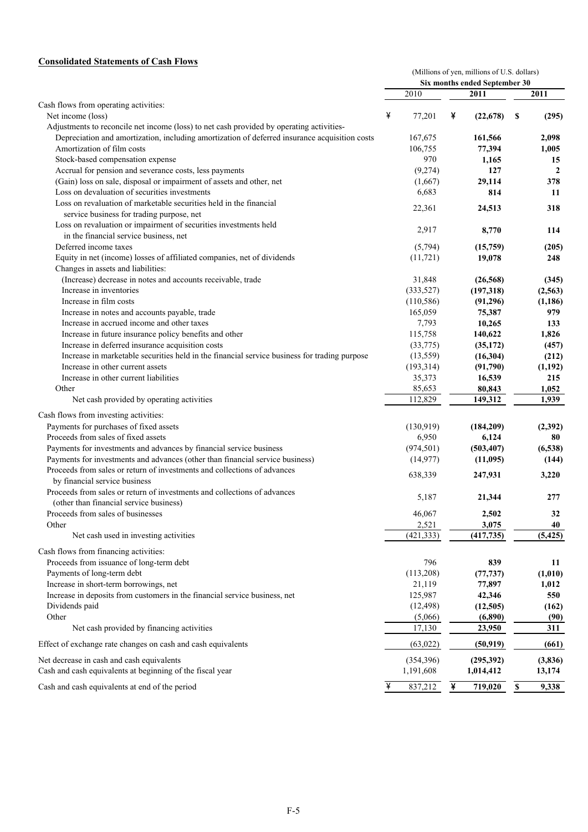### **Consolidated Statements of Cash Flows**

| <u>Consonuated Blatements of Cash Flows</u>                                                                           | (Millions of yen, millions of U.S. dollars)<br>Six months ended September 30 |            |   |              |   |                      |  |
|-----------------------------------------------------------------------------------------------------------------------|------------------------------------------------------------------------------|------------|---|--------------|---|----------------------|--|
|                                                                                                                       |                                                                              |            |   |              |   |                      |  |
|                                                                                                                       |                                                                              | 2010       |   | 2011         |   | $\overline{201}1$    |  |
| Cash flows from operating activities:<br>Net income (loss)                                                            | ¥                                                                            | 77,201     | ¥ | (22, 678)    | S | (295)                |  |
| Adjustments to reconcile net income (loss) to net cash provided by operating activities-                              |                                                                              |            |   |              |   |                      |  |
| Depreciation and amortization, including amortization of deferred insurance acquisition costs                         |                                                                              | 167,675    |   | 161,566      |   | 2,098                |  |
| Amortization of film costs                                                                                            |                                                                              | 106,755    |   | 77,394       |   | 1,005                |  |
|                                                                                                                       |                                                                              | 970        |   |              |   |                      |  |
| Stock-based compensation expense<br>Accrual for pension and severance costs, less payments                            |                                                                              |            |   | 1,165<br>127 |   | 15<br>$\overline{2}$ |  |
|                                                                                                                       |                                                                              | (9,274)    |   |              |   |                      |  |
| (Gain) loss on sale, disposal or impairment of assets and other, net<br>Loss on devaluation of securities investments |                                                                              | (1,667)    |   | 29,114       |   | 378                  |  |
|                                                                                                                       |                                                                              | 6,683      |   | 814          |   | 11                   |  |
| Loss on revaluation of marketable securities held in the financial                                                    |                                                                              | 22,361     |   | 24,513       |   | 318                  |  |
| service business for trading purpose, net                                                                             |                                                                              |            |   |              |   |                      |  |
| Loss on revaluation or impairment of securities investments held                                                      |                                                                              | 2,917      |   | 8,770        |   | 114                  |  |
| in the financial service business, net                                                                                |                                                                              |            |   |              |   |                      |  |
| Deferred income taxes                                                                                                 |                                                                              | (5,794)    |   | (15,759)     |   | (205)                |  |
| Equity in net (income) losses of affiliated companies, net of dividends                                               |                                                                              | (11, 721)  |   | 19,078       |   | 248                  |  |
| Changes in assets and liabilities:                                                                                    |                                                                              |            |   |              |   |                      |  |
| (Increase) decrease in notes and accounts receivable, trade                                                           |                                                                              | 31,848     |   | (26, 568)    |   | (345)                |  |
| Increase in inventories                                                                                               |                                                                              | (333, 527) |   | (197,318)    |   | (2, 563)             |  |
| Increase in film costs                                                                                                |                                                                              | (110, 586) |   | (91,296)     |   | (1, 186)             |  |
| Increase in notes and accounts payable, trade                                                                         |                                                                              | 165,059    |   | 75,387       |   | 979                  |  |
| Increase in accrued income and other taxes                                                                            |                                                                              | 7,793      |   | 10,265       |   | 133                  |  |
| Increase in future insurance policy benefits and other                                                                |                                                                              | 115,758    |   | 140,622      |   | 1,826                |  |
| Increase in deferred insurance acquisition costs                                                                      |                                                                              | (33, 775)  |   | (35, 172)    |   | (457)                |  |
| Increase in marketable securities held in the financial service business for trading purpose                          |                                                                              | (13, 559)  |   | (16,304)     |   | (212)                |  |
| Increase in other current assets                                                                                      |                                                                              | (193, 314) |   | (91,790)     |   | (1,192)              |  |
| Increase in other current liabilities                                                                                 |                                                                              | 35,373     |   | 16,539       |   | 215                  |  |
| Other                                                                                                                 |                                                                              | 85,653     |   | 80,843       |   | 1,052                |  |
| Net cash provided by operating activities                                                                             |                                                                              | 112,829    |   | 149,312      |   | 1,939                |  |
| Cash flows from investing activities:                                                                                 |                                                                              |            |   |              |   |                      |  |
| Payments for purchases of fixed assets                                                                                |                                                                              | (130,919)  |   | (184,209)    |   | (2,392)              |  |
| Proceeds from sales of fixed assets                                                                                   |                                                                              | 6,950      |   | 6,124        |   | 80                   |  |
| Payments for investments and advances by financial service business                                                   |                                                                              | (974, 501) |   | (503, 407)   |   | (6,538)              |  |
| Payments for investments and advances (other than financial service business)                                         |                                                                              | (14, 977)  |   | (11,095)     |   | (144)                |  |
| Proceeds from sales or return of investments and collections of advances                                              |                                                                              |            |   |              |   |                      |  |
| by financial service business                                                                                         |                                                                              | 638,339    |   | 247,931      |   | 3,220                |  |
| Proceeds from sales or return of investments and collections of advances                                              |                                                                              |            |   |              |   |                      |  |
| (other than financial service business)                                                                               |                                                                              | 5,187      |   | 21,344       |   | 277                  |  |
| Proceeds from sales of businesses                                                                                     |                                                                              | 46,067     |   | 2,502        |   | 32                   |  |
| Other                                                                                                                 |                                                                              | 2,521      |   | 3,075        |   | 40                   |  |
| Net cash used in investing activities                                                                                 |                                                                              | (421, 333) |   | (417, 735)   |   | (5, 425)             |  |
|                                                                                                                       |                                                                              |            |   |              |   |                      |  |
| Cash flows from financing activities:                                                                                 |                                                                              | 796        |   |              |   |                      |  |
| Proceeds from issuance of long-term debt                                                                              |                                                                              |            |   | 839          |   | 11                   |  |
| Payments of long-term debt                                                                                            |                                                                              | (113,208)  |   | (77, 737)    |   | (1,010)              |  |
| Increase in short-term borrowings, net                                                                                |                                                                              | 21,119     |   | 77,897       |   | 1,012                |  |
| Increase in deposits from customers in the financial service business, net                                            |                                                                              | 125,987    |   | 42,346       |   | 550                  |  |
| Dividends paid                                                                                                        |                                                                              | (12, 498)  |   | (12,505)     |   | (162)                |  |
| Other                                                                                                                 |                                                                              | (5,066)    |   | (6,890)      |   | (90)                 |  |
| Net cash provided by financing activities                                                                             |                                                                              | 17,130     |   | 23,950       |   | 311                  |  |
| Effect of exchange rate changes on cash and cash equivalents                                                          |                                                                              | (63, 022)  |   | (50, 919)    |   | (661)                |  |
| Net decrease in cash and cash equivalents                                                                             |                                                                              | (354, 396) |   | (295,392)    |   | (3, 836)             |  |
| Cash and cash equivalents at beginning of the fiscal year                                                             |                                                                              | 1,191,608  |   | 1,014,412    |   | 13,174               |  |
| Cash and cash equivalents at end of the period                                                                        | ¥                                                                            | 837,212    | ¥ | 719,020      | S | 9,338                |  |
|                                                                                                                       |                                                                              |            |   |              |   |                      |  |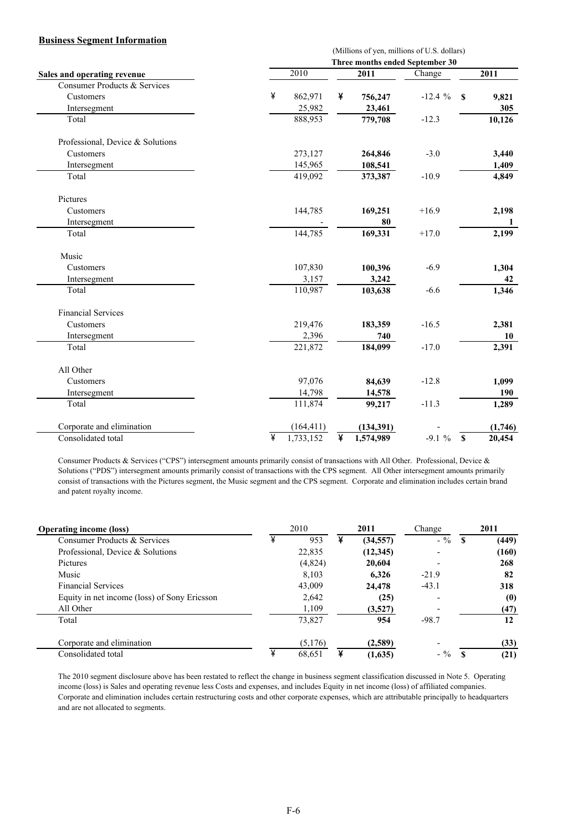#### **Business Segment Information**

|                                  | (Millions of yen, millions of U.S. dollars) |            |   |            |                                 |              |         |  |  |
|----------------------------------|---------------------------------------------|------------|---|------------|---------------------------------|--------------|---------|--|--|
|                                  |                                             |            |   |            | Three months ended September 30 |              |         |  |  |
| Sales and operating revenue      |                                             | 2010       |   | 2011       | Change                          |              | 2011    |  |  |
| Consumer Products & Services     |                                             |            |   |            |                                 |              |         |  |  |
| Customers                        | ¥                                           | 862,971    | ¥ | 756,247    | $-12.4%$                        | $\mathbf{s}$ | 9,821   |  |  |
| Intersegment                     |                                             | 25,982     |   | 23,461     |                                 |              | 305     |  |  |
| Total                            |                                             | 888,953    |   | 779,708    | $-12.3$                         |              | 10,126  |  |  |
| Professional, Device & Solutions |                                             |            |   |            |                                 |              |         |  |  |
| Customers                        |                                             | 273,127    |   | 264,846    | $-3.0$                          |              | 3,440   |  |  |
| Intersegment                     |                                             | 145,965    |   | 108,541    |                                 |              | 1,409   |  |  |
| Total                            |                                             | 419,092    |   | 373,387    | $-10.9$                         |              | 4,849   |  |  |
| Pictures                         |                                             |            |   |            |                                 |              |         |  |  |
| Customers                        |                                             | 144,785    |   | 169,251    | $+16.9$                         |              | 2,198   |  |  |
| Intersegment                     |                                             |            |   | 80         |                                 |              | 1       |  |  |
| Total                            |                                             | 144,785    |   | 169,331    | $+17.0$                         |              | 2,199   |  |  |
| Music                            |                                             |            |   |            |                                 |              |         |  |  |
| Customers                        |                                             | 107,830    |   | 100,396    | $-6.9$                          |              | 1,304   |  |  |
| Intersegment                     |                                             | 3,157      |   | 3,242      |                                 |              | 42      |  |  |
| Total                            |                                             | 110,987    |   | 103,638    | $-6.6$                          |              | 1,346   |  |  |
| <b>Financial Services</b>        |                                             |            |   |            |                                 |              |         |  |  |
| Customers                        |                                             | 219,476    |   | 183,359    | $-16.5$                         |              | 2,381   |  |  |
| Intersegment                     |                                             | 2,396      |   | 740        |                                 |              | 10      |  |  |
| Total                            |                                             | 221,872    |   | 184,099    | $-17.0$                         |              | 2,391   |  |  |
| All Other                        |                                             |            |   |            |                                 |              |         |  |  |
| Customers                        |                                             | 97,076     |   | 84,639     | $-12.8$                         |              | 1,099   |  |  |
| Intersegment                     |                                             | 14,798     |   | 14,578     |                                 |              | 190     |  |  |
| Total                            |                                             | 111,874    |   | 99,217     | $-11.3$                         |              | 1,289   |  |  |
| Corporate and elimination        |                                             | (164, 411) |   | (134, 391) |                                 |              | (1,746) |  |  |
| Consolidated total               | ¥                                           | 1,733,152  | ¥ | 1,574,989  | $-9.1%$                         | $\mathbf S$  | 20,454  |  |  |

Consumer Products & Services ("CPS") intersegment amounts primarily consist of transactions with All Other. Professional, Device & Solutions ("PDS") intersegment amounts primarily consist of transactions with the CPS segment. All Other intersegment amounts primarily consist of transactions with the Pictures segment, the Music segment and the CPS segment. Corporate and elimination includes certain brand and patent royalty income.

| <b>Operating income (loss)</b>               |   | 2010    | 2011      | Change  | 2011                          |
|----------------------------------------------|---|---------|-----------|---------|-------------------------------|
| Consumer Products & Services                 | ¥ | 953     | (34, 557) | $-$ %   | (449)                         |
| Professional, Device & Solutions             |   | 22,835  | (12,345)  |         | (160)                         |
| Pictures                                     |   | (4,824) | 20,604    |         | 268                           |
| Music                                        |   | 8,103   | 6,326     | $-21.9$ | 82                            |
| <b>Financial Services</b>                    |   | 43.009  | 24,478    | $-43.1$ | 318                           |
| Equity in net income (loss) of Sony Ericsson |   | 2,642   | (25)      |         | $\boldsymbol{\left(0\right)}$ |
| All Other                                    |   | 1,109   | (3,527)   |         | (47)                          |
| Total                                        |   | 73,827  | 954       | $-98.7$ | 12                            |
| Corporate and elimination                    |   | (5,176) | (2,589)   |         | (33)                          |
| Consolidated total                           | ¥ | 68,651  | (1,635)   | $-$ %   | (21)                          |

The 2010 segment disclosure above has been restated to reflect the change in business segment classification discussed in Note 5. Operating income (loss) is Sales and operating revenue less Costs and expenses, and includes Equity in net income (loss) of affiliated companies. Corporate and elimination includes certain restructuring costs and other corporate expenses, which are attributable principally to headquarters and are not allocated to segments.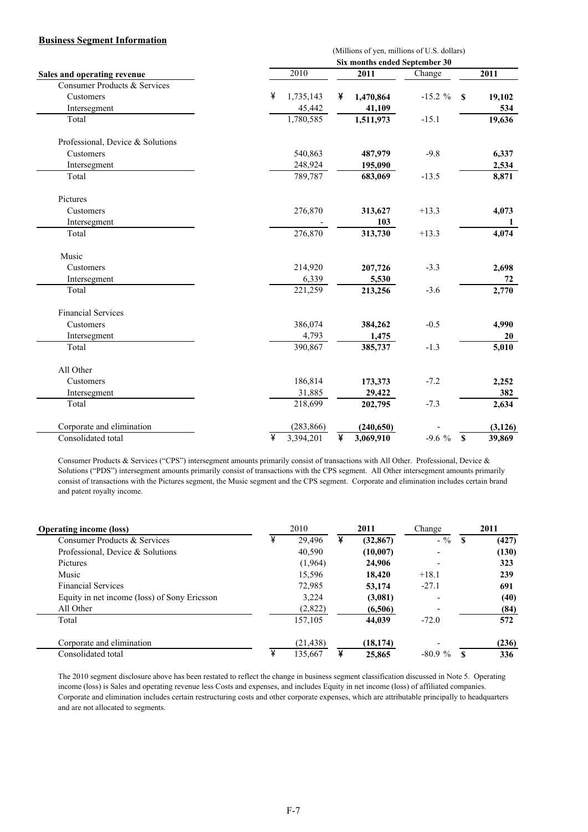#### **Business Segment Information**

|                                  | (Millions of yen, millions of U.S. dollars) |                               |                                        |          |  |  |  |  |  |
|----------------------------------|---------------------------------------------|-------------------------------|----------------------------------------|----------|--|--|--|--|--|
|                                  |                                             | Six months ended September 30 |                                        |          |  |  |  |  |  |
| Sales and operating revenue      | 2010                                        | $20\overline{11}$             | Change                                 | 2011     |  |  |  |  |  |
| Consumer Products & Services     |                                             |                               |                                        |          |  |  |  |  |  |
| Customers                        | ¥<br>1,735,143                              | ¥<br>1,470,864                | $-15.2 \%$<br>$\mathbf{s}$             | 19,102   |  |  |  |  |  |
| Intersegment                     | 45,442                                      | 41,109                        |                                        | 534      |  |  |  |  |  |
| Total                            | 1,780,585                                   | 1,511,973                     | $-15.1$                                | 19,636   |  |  |  |  |  |
| Professional, Device & Solutions |                                             |                               |                                        |          |  |  |  |  |  |
| Customers                        | 540,863                                     | 487,979                       | $-9.8$                                 | 6,337    |  |  |  |  |  |
| Intersegment                     | 248,924                                     | 195,090                       |                                        | 2,534    |  |  |  |  |  |
| Total                            | 789,787                                     | 683,069                       | $-13.5$                                | 8,871    |  |  |  |  |  |
| Pictures                         |                                             |                               |                                        |          |  |  |  |  |  |
| Customers                        | 276,870                                     | 313,627                       | $+13.3$                                | 4,073    |  |  |  |  |  |
| Intersegment                     |                                             | 103                           |                                        | -1       |  |  |  |  |  |
| Total                            | 276,870                                     | 313,730                       | $+13.3$                                | 4,074    |  |  |  |  |  |
| Music                            |                                             |                               |                                        |          |  |  |  |  |  |
| Customers                        | 214,920                                     | 207,726                       | $-3.3$                                 | 2,698    |  |  |  |  |  |
| Intersegment                     | 6,339                                       | 5,530                         |                                        | 72       |  |  |  |  |  |
| Total                            | 221,259                                     | 213,256                       | $-3.6$                                 | 2,770    |  |  |  |  |  |
| <b>Financial Services</b>        |                                             |                               |                                        |          |  |  |  |  |  |
| Customers                        | 386,074                                     | 384,262                       | $-0.5$                                 | 4,990    |  |  |  |  |  |
| Intersegment                     | 4,793                                       | 1,475                         |                                        | 20       |  |  |  |  |  |
| Total                            | 390,867                                     | 385,737                       | $-1.3$                                 | 5,010    |  |  |  |  |  |
| All Other                        |                                             |                               |                                        |          |  |  |  |  |  |
| Customers                        | 186,814                                     | 173,373                       | $-7.2$                                 | 2,252    |  |  |  |  |  |
| Intersegment                     | 31,885                                      | 29,422                        |                                        | 382      |  |  |  |  |  |
| Total                            | 218,699                                     | 202,795                       | $-7.3$                                 | 2,634    |  |  |  |  |  |
| Corporate and elimination        | (283, 866)                                  | (240, 650)                    |                                        | (3, 126) |  |  |  |  |  |
| Consolidated total               | ¥<br>3,394,201                              | ¥<br>3,069,910                | $-9.6 \%$<br>$\boldsymbol{\mathsf{S}}$ | 39,869   |  |  |  |  |  |

Consumer Products & Services ("CPS") intersegment amounts primarily consist of transactions with All Other. Professional, Device & Solutions ("PDS") intersegment amounts primarily consist of transactions with the CPS segment. All Other intersegment amounts primarily consist of transactions with the Pictures segment, the Music segment and the CPS segment. Corporate and elimination includes certain brand and patent royalty income.

| <b>Operating income (loss)</b>               |   | 2010      | 2011      | Change        | 2011  |
|----------------------------------------------|---|-----------|-----------|---------------|-------|
| Consumer Products & Services                 | ¥ | 29.496    | (32, 867) | $-$ %<br>-S   | (427) |
| Professional, Device & Solutions             |   | 40,590    | (10,007)  | -             | (130) |
| Pictures                                     |   | (1,964)   | 24,906    |               | 323   |
| Music                                        |   | 15,596    | 18,420    | $+18.1$       | 239   |
| <b>Financial Services</b>                    |   | 72,985    | 53,174    | $-27.1$       | 691   |
| Equity in net income (loss) of Sony Ericsson |   | 3,224     | (3,081)   |               | (40)  |
| All Other                                    |   | (2,822)   | (6,506)   |               | (84)  |
| Total                                        |   | 157,105   | 44,039    | $-72.0$       | 572   |
| Corporate and elimination                    |   | (21, 438) | (18, 174) |               | (236) |
| Consolidated total                           | ¥ | 135,667   | 25,865    | $-80.9%$<br>S | 336   |

The 2010 segment disclosure above has been restated to reflect the change in business segment classification discussed in Note 5. Operating income (loss) is Sales and operating revenue less Costs and expenses, and includes Equity in net income (loss) of affiliated companies. Corporate and elimination includes certain restructuring costs and other corporate expenses, which are attributable principally to headquarters and are not allocated to segments.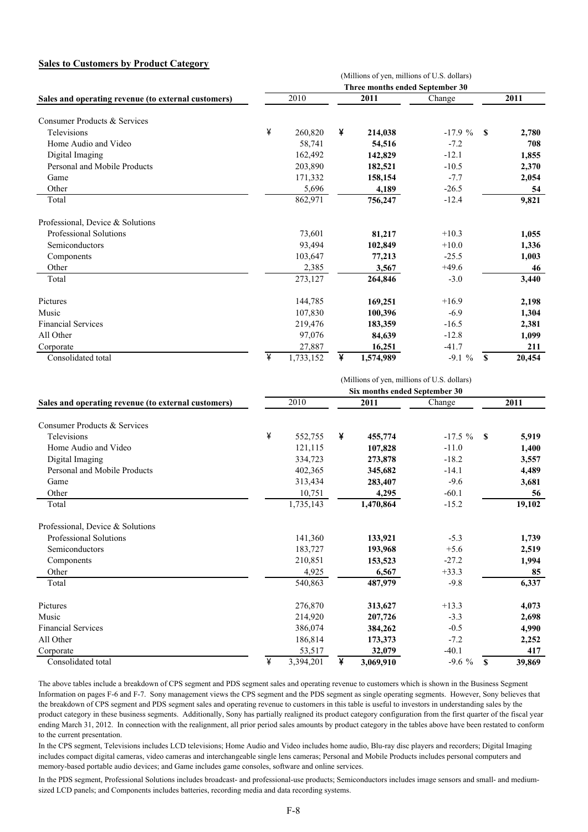#### **Sales to Customers by Product Category**

|                                                     | (Millions of yen, millions of U.S. dollars) |           |   |           |                                 |          |        |  |  |  |
|-----------------------------------------------------|---------------------------------------------|-----------|---|-----------|---------------------------------|----------|--------|--|--|--|
|                                                     |                                             |           |   |           | Three months ended September 30 |          |        |  |  |  |
| Sales and operating revenue (to external customers) |                                             | 2010      |   | 2011      | Change                          |          | 2011   |  |  |  |
| Consumer Products & Services                        |                                             |           |   |           |                                 |          |        |  |  |  |
| Televisions                                         | ¥                                           | 260,820   | ¥ | 214,038   | $-17.9%$                        | <b>S</b> | 2,780  |  |  |  |
| Home Audio and Video                                |                                             | 58,741    |   | 54,516    | $-7.2$                          |          | 708    |  |  |  |
| Digital Imaging                                     |                                             | 162,492   |   | 142,829   | $-12.1$                         |          | 1,855  |  |  |  |
| Personal and Mobile Products                        |                                             | 203,890   |   | 182,521   | $-10.5$                         |          | 2,370  |  |  |  |
| Game                                                |                                             | 171,332   |   | 158,154   | $-7.7$                          |          | 2,054  |  |  |  |
| Other                                               |                                             | 5,696     |   | 4,189     | $-26.5$                         |          | 54     |  |  |  |
| Total                                               |                                             | 862,971   |   | 756,247   | $-12.4$                         |          | 9,821  |  |  |  |
| Professional, Device & Solutions                    |                                             |           |   |           |                                 |          |        |  |  |  |
| <b>Professional Solutions</b>                       |                                             | 73,601    |   | 81,217    | $+10.3$                         |          | 1,055  |  |  |  |
| Semiconductors                                      |                                             | 93,494    |   | 102,849   | $+10.0$                         |          | 1,336  |  |  |  |
| Components                                          |                                             | 103,647   |   | 77,213    | $-25.5$                         |          | 1,003  |  |  |  |
| Other                                               |                                             | 2,385     |   | 3,567     | $+49.6$                         |          | 46     |  |  |  |
| Total                                               |                                             | 273,127   |   | 264,846   | $-3.0$                          |          | 3,440  |  |  |  |
| Pictures                                            |                                             | 144,785   |   | 169,251   | $+16.9$                         |          | 2,198  |  |  |  |
| Music                                               |                                             | 107,830   |   | 100,396   | $-6.9$                          |          | 1,304  |  |  |  |
| <b>Financial Services</b>                           |                                             | 219,476   |   | 183,359   | $-16.5$                         |          | 2,381  |  |  |  |
| All Other                                           |                                             | 97,076    |   | 84,639    | $-12.8$                         |          | 1,099  |  |  |  |
| Corporate                                           |                                             | 27,887    |   | 16,251    | $-41.7$                         |          | 211    |  |  |  |
| Consolidated total                                  | ¥                                           | 1,733,152 | ¥ | 1,574,989 | $-9.1%$                         | S        | 20,454 |  |  |  |

|                                                     | (Millions of yen, millions of U.S. dollars) |           |   |                               |            |          |        |  |  |  |
|-----------------------------------------------------|---------------------------------------------|-----------|---|-------------------------------|------------|----------|--------|--|--|--|
|                                                     |                                             |           |   | Six months ended September 30 |            |          |        |  |  |  |
| Sales and operating revenue (to external customers) |                                             | 2010      |   | 2011                          | Change     |          | 2011   |  |  |  |
| Consumer Products & Services                        |                                             |           |   |                               |            |          |        |  |  |  |
| Televisions                                         | ¥                                           | 552,755   | ¥ | 455,774                       | $-17.5 \%$ | <b>S</b> | 5,919  |  |  |  |
| Home Audio and Video                                |                                             | 121,115   |   | 107,828                       | $-11.0$    |          | 1,400  |  |  |  |
| Digital Imaging                                     |                                             | 334,723   |   | 273,878                       | $-18.2$    |          | 3,557  |  |  |  |
| Personal and Mobile Products                        |                                             | 402,365   |   | 345,682                       | $-14.1$    |          | 4,489  |  |  |  |
| Game                                                |                                             | 313,434   |   | 283,407                       | $-9.6$     |          | 3,681  |  |  |  |
| Other                                               |                                             | 10,751    |   | 4,295                         | $-60.1$    |          | 56     |  |  |  |
| Total                                               |                                             | 1,735,143 |   | 1,470,864                     | $-15.2$    |          | 19,102 |  |  |  |
| Professional, Device & Solutions                    |                                             |           |   |                               |            |          |        |  |  |  |
| Professional Solutions                              |                                             | 141,360   |   | 133,921                       | $-5.3$     |          | 1,739  |  |  |  |
| Semiconductors                                      |                                             | 183,727   |   | 193,968                       | $+5.6$     |          | 2,519  |  |  |  |
| Components                                          |                                             | 210,851   |   | 153,523                       | $-27.2$    |          | 1,994  |  |  |  |
| Other                                               |                                             | 4,925     |   | 6,567                         | $+33.3$    |          | 85     |  |  |  |
| Total                                               |                                             | 540,863   |   | 487,979                       | $-9.8$     |          | 6,337  |  |  |  |
| Pictures                                            |                                             | 276,870   |   | 313,627                       | $+13.3$    |          | 4,073  |  |  |  |
| Music                                               |                                             | 214,920   |   | 207,726                       | $-3.3$     |          | 2,698  |  |  |  |
| <b>Financial Services</b>                           |                                             | 386,074   |   | 384,262                       | $-0.5$     |          | 4,990  |  |  |  |
| All Other                                           |                                             | 186,814   |   | 173,373                       | $-7.2$     |          | 2,252  |  |  |  |
| Corporate                                           |                                             | 53,517    |   | 32,079                        | $-40.1$    |          | 417    |  |  |  |
| Consolidated total                                  | ¥                                           | 3,394,201 | ¥ | 3,069,910                     | $-9.6 \%$  | S        | 39,869 |  |  |  |

The above tables include a breakdown of CPS segment and PDS segment sales and operating revenue to customers which is shown in the Business Segment Information on pages F-6 and F-7. Sony management views the CPS segment and the PDS segment as single operating segments. However, Sony believes that the breakdown of CPS segment and PDS segment sales and operating revenue to customers in this table is useful to investors in understanding sales by the product category in these business segments. Additionally, Sony has partially realigned its product category configuration from the first quarter of the fiscal year ending March 31, 2012. In connection with the realignment, all prior period sales amounts by product category in the tables above have been restated to conform to the current presentation.

In the CPS segment, Televisions includes LCD televisions; Home Audio and Video includes home audio, Blu-ray disc players and recorders; Digital Imaging includes compact digital cameras, video cameras and interchangeable single lens cameras; Personal and Mobile Products includes personal computers and memory-based portable audio devices; and Game includes game consoles, software and online services.

In the PDS segment, Professional Solutions includes broadcast- and professional-use products; Semiconductors includes image sensors and small- and mediumsized LCD panels; and Components includes batteries, recording media and data recording systems.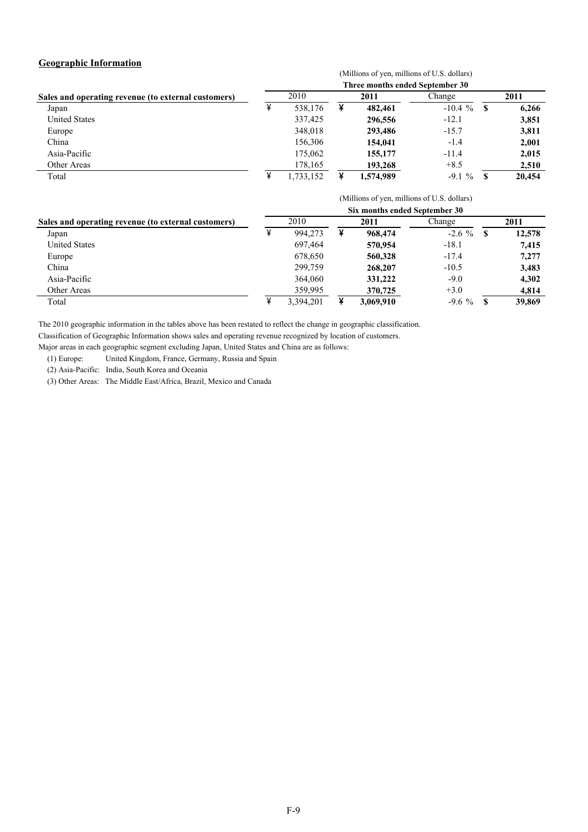### **Geographic Information**

|                                                     | (Millions of yen, millions of U.S. dollars) |           |   |           |          |    |        |  |  |  |  |
|-----------------------------------------------------|---------------------------------------------|-----------|---|-----------|----------|----|--------|--|--|--|--|
|                                                     | Three months ended September 30             |           |   |           |          |    |        |  |  |  |  |
| Sales and operating revenue (to external customers) |                                             | 2010      |   | 2011      | Change   |    | 2011   |  |  |  |  |
| Japan                                               |                                             | 538,176   | ¥ | 482,461   | $-10.4%$ | -S | 6,266  |  |  |  |  |
| <b>United States</b>                                |                                             | 337,425   |   | 296,556   | $-12.1$  |    | 3,851  |  |  |  |  |
| Europe                                              |                                             | 348,018   |   | 293,486   | $-15.7$  |    | 3,811  |  |  |  |  |
| China                                               |                                             | 156,306   |   | 154,041   | $-1.4$   |    | 2.001  |  |  |  |  |
| Asia-Pacific                                        |                                             | 175,062   |   | 155,177   | $-11.4$  |    | 2,015  |  |  |  |  |
| Other Areas                                         |                                             | 178,165   |   | 193,268   | $+8.5$   |    | 2,510  |  |  |  |  |
| Total                                               |                                             | 1,733,152 |   | 1,574,989 | $-9.1\%$ |    | 20.454 |  |  |  |  |

|                                                     |                               | (Millions of yen, millions of U.S. dollars) |  |           |           |    |        |  |  |  |  |
|-----------------------------------------------------|-------------------------------|---------------------------------------------|--|-----------|-----------|----|--------|--|--|--|--|
|                                                     | Six months ended September 30 |                                             |  |           |           |    |        |  |  |  |  |
| Sales and operating revenue (to external customers) |                               | 2010                                        |  | 2011      | Change    |    | 2011   |  |  |  |  |
| Japan                                               | ¥                             | 994.273                                     |  | 968,474   | $-2.6\%$  | -S | 12,578 |  |  |  |  |
| <b>United States</b>                                |                               | 697,464                                     |  | 570,954   | $-18.1$   |    | 7,415  |  |  |  |  |
| Europe                                              |                               | 678,650                                     |  | 560,328   | $-17.4$   |    | 7,277  |  |  |  |  |
| China                                               |                               | 299,759                                     |  | 268,207   | $-10.5$   |    | 3,483  |  |  |  |  |
| Asia-Pacific                                        |                               | 364,060                                     |  | 331,222   | $-9.0$    |    | 4,302  |  |  |  |  |
| Other Areas                                         |                               | 359,995                                     |  | 370,725   | $+3.0$    |    | 4,814  |  |  |  |  |
| Total                                               | ¥                             | 3,394,201                                   |  | 3,069,910 | $-9.6 \%$ |    | 39,869 |  |  |  |  |

The 2010 geographic information in the tables above has been restated to reflect the change in geographic classification.

Classification of Geographic Information shows sales and operating revenue recognized by location of customers.

Major areas in each geographic segment excluding Japan, United States and China are as follows:

(1) Europe: United Kingdom, France, Germany, Russia and Spain

(2) Asia-Pacific: India, South Korea and Oceania

(3) Other Areas: The Middle East/Africa, Brazil, Mexico and Canada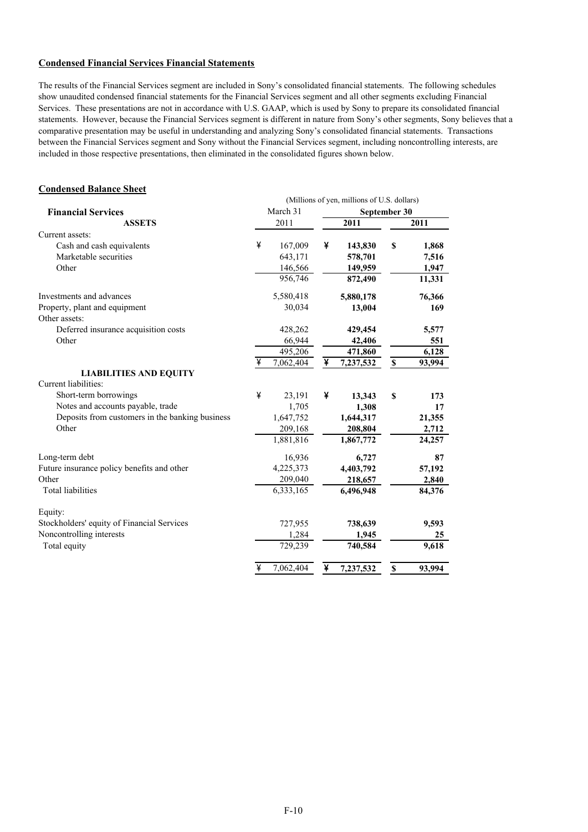### **Condensed Financial Services Financial Statements**

The results of the Financial Services segment are included in Sony's consolidated financial statements. The following schedules show unaudited condensed financial statements for the Financial Services segment and all other segments excluding Financial Services. These presentations are not in accordance with U.S. GAAP, which is used by Sony to prepare its consolidated financial statements. However, because the Financial Services segment is different in nature from Sony's other segments, Sony believes that a comparative presentation may be useful in understanding and analyzing Sony's consolidated financial statements. Transactions between the Financial Services segment and Sony without the Financial Services segment, including noncontrolling interests, are included in those respective presentations, then eliminated in the consolidated figures shown below.

#### **Condensed Balance Sheet**

|                                                       | (Millions of yen, millions of U.S. dollars) |           |   |           |                           |        |  |  |  |
|-------------------------------------------------------|---------------------------------------------|-----------|---|-----------|---------------------------|--------|--|--|--|
| <b>Financial Services</b>                             |                                             | March 31  |   |           | September 30              |        |  |  |  |
| <b>ASSETS</b>                                         |                                             | 2011      |   | 2011      |                           | 2011   |  |  |  |
| Current assets:                                       |                                             |           |   |           |                           |        |  |  |  |
| Cash and cash equivalents                             | ¥                                           | 167,009   | ¥ | 143,830   | $\mathbf S$               | 1,868  |  |  |  |
| Marketable securities                                 |                                             | 643,171   |   | 578,701   |                           | 7,516  |  |  |  |
| Other                                                 |                                             | 146,566   |   | 149,959   |                           | 1,947  |  |  |  |
|                                                       |                                             | 956,746   |   | 872,490   |                           | 11,331 |  |  |  |
| Investments and advances                              |                                             | 5,580,418 |   | 5,880,178 |                           | 76,366 |  |  |  |
| Property, plant and equipment<br>Other assets:        |                                             | 30,034    |   | 13,004    |                           | 169    |  |  |  |
| Deferred insurance acquisition costs                  |                                             | 428,262   |   | 429,454   |                           | 5,577  |  |  |  |
| Other                                                 |                                             | 66,944    |   | 42,406    |                           | 551    |  |  |  |
|                                                       |                                             | 495,206   |   | 471,860   |                           | 6,128  |  |  |  |
|                                                       | ¥                                           | 7,062,404 | ¥ | 7,237,532 | $\mathbb S$               | 93,994 |  |  |  |
| <b>LIABILITIES AND EQUITY</b><br>Current liabilities: |                                             |           |   |           |                           |        |  |  |  |
| Short-term borrowings                                 | ¥                                           | 23,191    | ¥ | 13,343    | S                         | 173    |  |  |  |
| Notes and accounts payable, trade                     |                                             | 1,705     |   | 1,308     |                           | 17     |  |  |  |
| Deposits from customers in the banking business       |                                             | 1,647,752 |   | 1,644,317 |                           | 21,355 |  |  |  |
| Other                                                 |                                             | 209,168   |   | 208,804   |                           | 2,712  |  |  |  |
|                                                       |                                             | 1,881,816 |   | 1,867,772 |                           | 24,257 |  |  |  |
| Long-term debt                                        |                                             | 16,936    |   | 6,727     |                           | 87     |  |  |  |
| Future insurance policy benefits and other            |                                             | 4,225,373 |   | 4,403,792 |                           | 57,192 |  |  |  |
| Other                                                 |                                             | 209,040   |   | 218,657   |                           | 2,840  |  |  |  |
| <b>Total liabilities</b>                              |                                             | 6,333,165 |   | 6,496,948 |                           | 84,376 |  |  |  |
| Equity:                                               |                                             |           |   |           |                           |        |  |  |  |
| Stockholders' equity of Financial Services            |                                             | 727,955   |   | 738,639   |                           | 9,593  |  |  |  |
| Noncontrolling interests                              |                                             | 1,284     |   | 1,945     |                           | 25     |  |  |  |
| Total equity                                          |                                             | 729,239   |   | 740,584   |                           | 9,618  |  |  |  |
|                                                       | ¥                                           | 7,062,404 | ¥ | 7,237,532 | $\boldsymbol{\mathsf{s}}$ | 93,994 |  |  |  |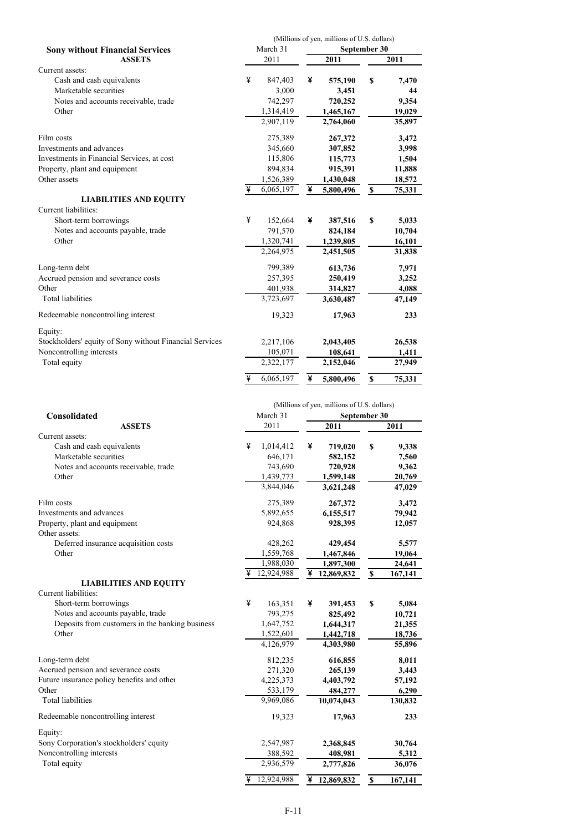|                                                         | (Millions of yen, millions of U.S. dollars) |           |              |           |   |        |  |  |  |
|---------------------------------------------------------|---------------------------------------------|-----------|--------------|-----------|---|--------|--|--|--|
| <b>Sony without Financial Services</b>                  |                                             | March 31  | September 30 |           |   |        |  |  |  |
| <b>ASSETS</b>                                           |                                             | 2011      |              | 2011      |   | 2011   |  |  |  |
| Current assets:                                         |                                             |           |              |           |   |        |  |  |  |
| Cash and cash equivalents                               | ¥                                           | 847,403   | ¥            | 575,190   | S | 7,470  |  |  |  |
| Marketable securities                                   |                                             | 3,000     |              | 3,451     |   | 44     |  |  |  |
| Notes and accounts receivable, trade                    |                                             | 742,297   |              | 720,252   |   | 9,354  |  |  |  |
| Other                                                   |                                             | 1,314,419 |              | 1,465,167 |   | 19,029 |  |  |  |
|                                                         |                                             | 2,907,119 |              | 2,764,060 |   | 35,897 |  |  |  |
| Film costs                                              |                                             | 275,389   |              | 267,372   |   | 3,472  |  |  |  |
| Investments and advances                                |                                             | 345,660   |              | 307,852   |   | 3,998  |  |  |  |
| Investments in Financial Services, at cost              |                                             | 115,806   |              | 115,773   |   | 1,504  |  |  |  |
| Property, plant and equipment                           |                                             | 894,834   |              | 915,391   |   | 11,888 |  |  |  |
| Other assets                                            |                                             | 1,526,389 |              | 1,430,048 |   | 18,572 |  |  |  |
|                                                         | ¥                                           | 6,065,197 | ¥            | 5,800,496 | S | 75,331 |  |  |  |
| <b>LIABILITIES AND EQUITY</b><br>Current liabilities:   |                                             |           |              |           |   |        |  |  |  |
|                                                         | ¥                                           |           |              |           |   |        |  |  |  |
| Short-term borrowings                                   |                                             | 152,664   | ¥            | 387,516   | S | 5,033  |  |  |  |
| Notes and accounts payable, trade                       |                                             | 791,570   |              | 824,184   |   | 10,704 |  |  |  |
| Other                                                   |                                             | 1,320,741 |              | 1,239,805 |   | 16,101 |  |  |  |
|                                                         |                                             | 2,264,975 |              | 2,451,505 |   | 31,838 |  |  |  |
| Long-term debt                                          |                                             | 799,389   |              | 613,736   |   | 7,971  |  |  |  |
| Accrued pension and severance costs                     |                                             | 257,395   |              | 250,419   |   | 3,252  |  |  |  |
| Other                                                   |                                             | 401,938   |              | 314,827   |   | 4,088  |  |  |  |
| <b>Total liabilities</b>                                |                                             | 3,723,697 |              | 3,630,487 |   | 47,149 |  |  |  |
| Redeemable noncontrolling interest                      |                                             | 19,323    |              | 17,963    |   | 233    |  |  |  |
| Equity:                                                 |                                             |           |              |           |   |        |  |  |  |
| Stockholders' equity of Sony without Financial Services |                                             | 2,217,106 |              | 2,043,405 |   | 26,538 |  |  |  |
| Noncontrolling interests                                |                                             | 105,071   |              | 108,641   |   | 1,411  |  |  |  |
| Total equity                                            |                                             | 2,322,177 |              | 2,152,046 |   | 27,949 |  |  |  |
|                                                         | ¥                                           | 6,065,197 | ¥            | 5,800,496 | S | 75,331 |  |  |  |

|                                                 | (Millions of yen, millions of U.S. dollars) |                 |                        |  |  |  |  |  |
|-------------------------------------------------|---------------------------------------------|-----------------|------------------------|--|--|--|--|--|
| Consolidated                                    | March 31                                    |                 | September 30           |  |  |  |  |  |
| <b>ASSETS</b>                                   | 2011                                        | 2011            | 2011                   |  |  |  |  |  |
| Current assets:                                 |                                             |                 |                        |  |  |  |  |  |
| Cash and cash equivalents                       | ¥<br>1,014,412                              | ¥<br>719,020    | S<br>9,338             |  |  |  |  |  |
| Marketable securities                           | 646,171                                     | 582,152         | 7,560                  |  |  |  |  |  |
| Notes and accounts receivable, trade            | 743,690                                     | 720,928         | 9,362                  |  |  |  |  |  |
| Other                                           | 1,439,773                                   | 1,599,148       | 20,769                 |  |  |  |  |  |
|                                                 | 3,844,046                                   | 3,621,248       | 47,029                 |  |  |  |  |  |
| Film costs                                      | 275,389                                     | 267,372         | 3,472                  |  |  |  |  |  |
| Investments and advances                        | 5,892,655                                   | 6,155,517       | 79,942                 |  |  |  |  |  |
| Property, plant and equipment                   | 924,868                                     | 928,395         | 12,057                 |  |  |  |  |  |
| Other assets:                                   |                                             |                 |                        |  |  |  |  |  |
| Deferred insurance acquisition costs            | 428,262                                     | 429,454         | 5,577                  |  |  |  |  |  |
| Other                                           | 1,559,768                                   | 1,467,846       | 19,064                 |  |  |  |  |  |
|                                                 | 1,988,030                                   | 1,897,300       | 24,641                 |  |  |  |  |  |
|                                                 | ¥<br>12,924,988                             | ¥<br>12,869,832 | S<br>167,141           |  |  |  |  |  |
| <b>LIABILITIES AND EQUITY</b>                   |                                             |                 |                        |  |  |  |  |  |
| Current liabilities:                            |                                             |                 |                        |  |  |  |  |  |
| Short-term borrowings                           | ¥<br>163,351                                | ¥<br>391,453    | \$<br>5,084            |  |  |  |  |  |
| Notes and accounts payable, trade               | 793,275                                     | 825,492         | 10,721                 |  |  |  |  |  |
| Deposits from customers in the banking business | 1,647,752                                   | 1,644,317       | 21,355                 |  |  |  |  |  |
| Other                                           | 1,522,601                                   | 1,442,718       | 18,736                 |  |  |  |  |  |
|                                                 | 4,126,979                                   | 4,303,980       | 55,896                 |  |  |  |  |  |
| Long-term debt                                  | 812,235                                     | 616,855         | 8,011                  |  |  |  |  |  |
| Accrued pension and severance costs             | 271,320                                     | 265,139         | 3,443                  |  |  |  |  |  |
| Future insurance policy benefits and other      | 4,225,373                                   | 4,403,792       | 57,192                 |  |  |  |  |  |
| Other                                           | 533,179                                     | 484,277         | 6,290                  |  |  |  |  |  |
| <b>Total liabilities</b>                        | 9,969,086                                   | 10,074,043      | 130,832                |  |  |  |  |  |
| Redeemable noncontrolling interest              | 19,323                                      | 17,963          | 233                    |  |  |  |  |  |
| Equity:                                         |                                             |                 |                        |  |  |  |  |  |
| Sony Corporation's stockholders' equity         | 2,547,987                                   | 2,368,845       | 30,764                 |  |  |  |  |  |
| Noncontrolling interests                        | 388,592                                     | 408,981         | 5,312                  |  |  |  |  |  |
| Total equity                                    | 2,936,579                                   | 2,777,826       | 36,076                 |  |  |  |  |  |
|                                                 | ¥<br>12.924.988                             | ¥<br>12,869,832 | $\mathbf S$<br>167,141 |  |  |  |  |  |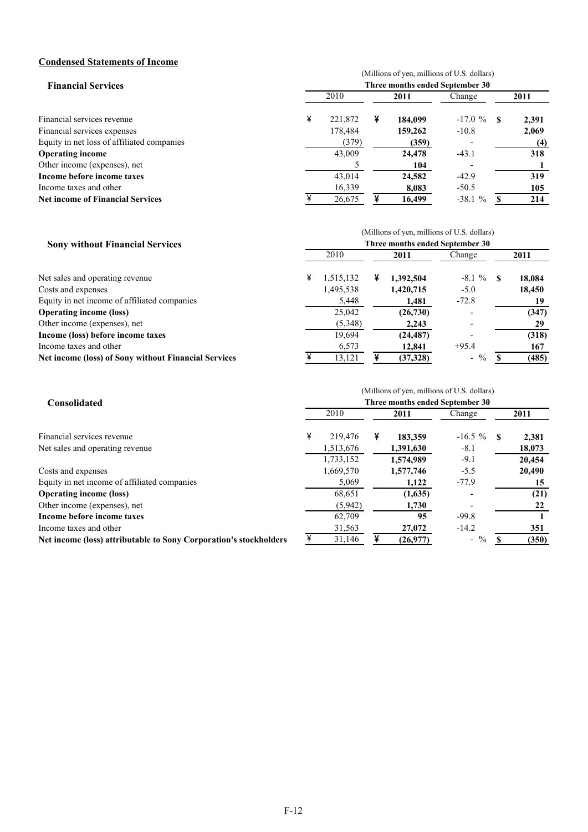### **Condensed Statements of Income**

|                                            |   |                                 |   | (Millions of yen, millions of U.S. dollars) |            |     |       |  |  |  |  |
|--------------------------------------------|---|---------------------------------|---|---------------------------------------------|------------|-----|-------|--|--|--|--|
| <b>Financial Services</b>                  |   | Three months ended September 30 |   |                                             |            |     |       |  |  |  |  |
|                                            |   | 2010                            |   | 2011                                        | Change     |     | 2011  |  |  |  |  |
| Financial services revenue                 | ¥ | 221,872                         | ¥ | 184,099                                     | $-17.0 \%$ | \$. | 2.391 |  |  |  |  |
| Financial services expenses                |   | 178,484                         |   | 159,262                                     | $-10.8$    |     | 2,069 |  |  |  |  |
| Equity in net loss of affiliated companies |   | (379)                           |   | (359)                                       |            |     | (4)   |  |  |  |  |
| <b>Operating income</b>                    |   | 43,009                          |   | 24,478                                      | $-43.1$    |     | 318   |  |  |  |  |
| Other income (expenses), net               |   |                                 |   | 104                                         |            |     |       |  |  |  |  |
| Income before income taxes                 |   | 43,014                          |   | 24,582                                      | $-42.9$    |     | 319   |  |  |  |  |
| Income taxes and other                     |   | 16,339                          |   | 8,083                                       | $-50.5$    |     | 105   |  |  |  |  |
| <b>Net income of Financial Services</b>    |   | 26,675                          |   | 16,499                                      | $-38.1%$   |     | 214   |  |  |  |  |

|                                                             | (Millions of yen, millions of U.S. dollars) |           |   |           |           |    |        |  |  |
|-------------------------------------------------------------|---------------------------------------------|-----------|---|-----------|-----------|----|--------|--|--|
| <b>Sony without Financial Services</b>                      | Three months ended September 30             |           |   |           |           |    |        |  |  |
|                                                             |                                             | 2010      |   | 2011      | Change    |    | 2011   |  |  |
| Net sales and operating revenue.                            | ¥                                           | 1,515,132 | ¥ | 1.392.504 | $-8.1 \%$ | -S | 18,084 |  |  |
| Costs and expenses                                          |                                             | 1,495,538 |   | 1,420,715 | $-5.0$    |    | 18,450 |  |  |
| Equity in net income of affiliated companies                |                                             | 5,448     |   | 1,481     | $-72.8$   |    | 19     |  |  |
| <b>Operating income (loss)</b>                              |                                             | 25,042    |   | (26,730)  |           |    | (347)  |  |  |
| Other income (expenses), net                                |                                             | (5,348)   |   | 2,243     |           |    | 29     |  |  |
| Income (loss) before income taxes                           |                                             | 19,694    |   | (24, 487) |           |    | (318)  |  |  |
| Income taxes and other                                      |                                             | 6,573     |   | 12,841    | $+95.4$   |    | 167    |  |  |
| <b>Net income (loss) of Sony without Financial Services</b> |                                             | 13.121    |   | (37,328)  | $-$ %     |    | (485)  |  |  |

|                                                                   | (Millions of yen, millions of U.S. dollars) |           |   |                                 |            |    |        |  |  |  |
|-------------------------------------------------------------------|---------------------------------------------|-----------|---|---------------------------------|------------|----|--------|--|--|--|
| Consolidated                                                      |                                             |           |   | Three months ended September 30 |            |    |        |  |  |  |
|                                                                   |                                             | 2010      |   | 2011                            | Change     |    | 2011   |  |  |  |
| Financial services revenue                                        | ¥                                           | 219,476   | ¥ | 183,359                         | $-16.5 \%$ | -S | 2.381  |  |  |  |
| Net sales and operating revenue.                                  |                                             | 1,513,676 |   | 1.391.630                       | $-8.1$     |    | 18,073 |  |  |  |
|                                                                   |                                             | 1,733,152 |   | 1,574,989                       | $-9.1$     |    | 20,454 |  |  |  |
| Costs and expenses                                                |                                             | 1,669,570 |   | 1,577,746                       | $-5.5$     |    | 20,490 |  |  |  |
| Equity in net income of affiliated companies                      |                                             | 5,069     |   | 1,122                           | $-77.9$    |    | 15     |  |  |  |
| <b>Operating income (loss)</b>                                    |                                             | 68,651    |   | (1,635)                         |            |    | (21)   |  |  |  |
| Other income (expenses), net                                      |                                             | (5,942)   |   | 1,730                           |            |    | 22     |  |  |  |
| Income before income taxes                                        |                                             | 62,709    |   | 95                              | $-99.8$    |    |        |  |  |  |
| Income taxes and other                                            |                                             | 31,563    |   | 27,072                          | $-14.2$    |    | 351    |  |  |  |
| Net income (loss) attributable to Sony Corporation's stockholders |                                             | 31,146    |   | (26,977)                        | $-$ %      |    | (350)  |  |  |  |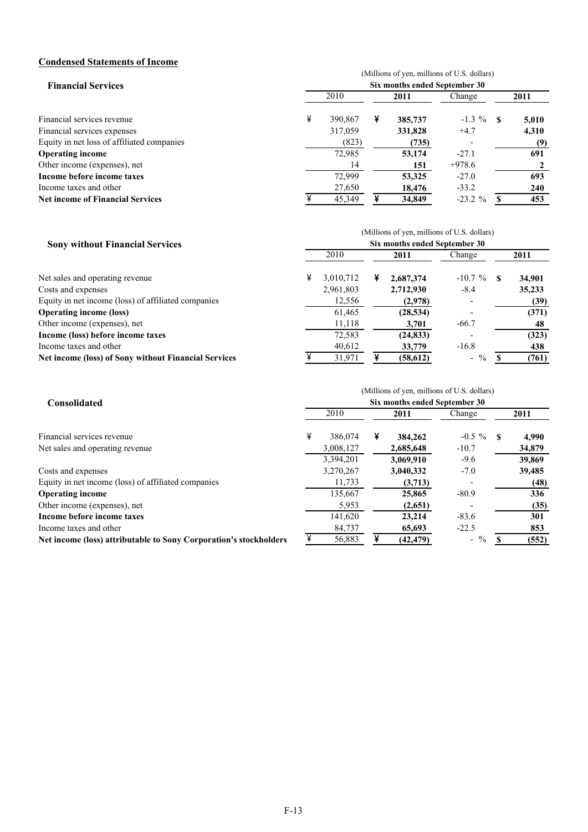### **Condensed Statements of Income**

|                                            |   |                               |  |         |            | (Millions of yen, millions of U.S. dollars) |       |  |  |  |  |  |  |  |
|--------------------------------------------|---|-------------------------------|--|---------|------------|---------------------------------------------|-------|--|--|--|--|--|--|--|
| <b>Financial Services</b>                  |   | Six months ended September 30 |  |         |            |                                             |       |  |  |  |  |  |  |  |
|                                            |   | 2010                          |  | 2011    | Change     |                                             | 2011  |  |  |  |  |  |  |  |
| Financial services revenue                 | ¥ | 390.867                       |  | 385,737 | $-1.3\%$   | -S                                          | 5,010 |  |  |  |  |  |  |  |
| Financial services expenses                |   | 317,059                       |  | 331,828 | $+4.7$     |                                             | 4,310 |  |  |  |  |  |  |  |
| Equity in net loss of affiliated companies |   | (823)                         |  | (735)   |            |                                             | (9)   |  |  |  |  |  |  |  |
| <b>Operating income</b>                    |   | 72,985                        |  | 53,174  | $-27.1$    |                                             | 691   |  |  |  |  |  |  |  |
| Other income (expenses), net               |   | 14                            |  | 151     | $+978.6$   |                                             |       |  |  |  |  |  |  |  |
| Income before income taxes                 |   | 72,999                        |  | 53,325  | $-27.0$    |                                             | 693   |  |  |  |  |  |  |  |
| Income taxes and other                     |   | 27,650                        |  | 18,476  | $-33.2$    |                                             | 240   |  |  |  |  |  |  |  |
| <b>Net income of Financial Services</b>    |   | 45,349                        |  | 34,849  | $-23.2 \%$ |                                             | 453   |  |  |  |  |  |  |  |

|                                                             | (Millions of yen, millions of U.S. dollars) |  |           |            |          |        |  |  |  |
|-------------------------------------------------------------|---------------------------------------------|--|-----------|------------|----------|--------|--|--|--|
| <b>Sony without Financial Services</b>                      | Six months ended September 30               |  |           |            |          |        |  |  |  |
|                                                             | 2010                                        |  | 2011      | Change     |          | 2011   |  |  |  |
| Net sales and operating revenue.                            | ¥<br>3,010,712                              |  | 2,687,374 | $-10.7 \%$ | <b>S</b> | 34,901 |  |  |  |
| Costs and expenses                                          | 2,961,803                                   |  | 2,712,930 | $-8.4$     |          | 35,233 |  |  |  |
| Equity in net income (loss) of affiliated companies         | 12,556                                      |  | (2,978)   |            |          | (39)   |  |  |  |
| <b>Operating income (loss)</b>                              | 61,465                                      |  | (28, 534) |            |          | (371)  |  |  |  |
| Other income (expenses), net                                | 11,118                                      |  | 3,701     | $-66.7$    |          | 48     |  |  |  |
| Income (loss) before income taxes                           | 72,583                                      |  | (24, 833) |            |          | (323)  |  |  |  |
| Income taxes and other                                      | 40,612                                      |  | 33,779    | $-16.8$    |          | 438    |  |  |  |
| <b>Net income (loss) of Sony without Financial Services</b> | 31.971                                      |  | (58, 612) | $-$ %      |          | (761)  |  |  |  |

|                                                                   | (Millions of yen, millions of U.S. dollars) |           |   |                               |                                  |    |        |  |  |  |
|-------------------------------------------------------------------|---------------------------------------------|-----------|---|-------------------------------|----------------------------------|----|--------|--|--|--|
| <b>Consolidated</b>                                               |                                             |           |   | Six months ended September 30 |                                  |    |        |  |  |  |
|                                                                   |                                             | 2010      |   | 2011                          | Change                           |    | 2011   |  |  |  |
| Financial services revenue                                        | ¥                                           | 386,074   | ¥ | 384,262                       | $-0.5 \%$                        | -S | 4,990  |  |  |  |
| Net sales and operating revenue.                                  |                                             | 3,008,127 |   | 2,685,648                     | $-10.7$                          |    | 34,879 |  |  |  |
|                                                                   |                                             | 3,394,201 |   | 3,069,910                     | $-9.6$                           |    | 39,869 |  |  |  |
| Costs and expenses                                                |                                             | 3,270,267 |   | 3,040,332                     | $-7.0$                           |    | 39,485 |  |  |  |
| Equity in net income (loss) of affiliated companies               |                                             | 11,733    |   | (3,713)                       |                                  |    | (48)   |  |  |  |
| <b>Operating income</b>                                           |                                             | 135.667   |   | 25,865                        | $-80.9$                          |    | 336    |  |  |  |
| Other income (expenses), net                                      |                                             | 5,953     |   | (2,651)                       |                                  |    | (35)   |  |  |  |
| Income before income taxes                                        |                                             | 141,620   |   | 23,214                        | $-83.6$                          |    | 301    |  |  |  |
| Income taxes and other                                            |                                             | 84,737    |   | 65,693                        | $-22.5$                          |    | 853    |  |  |  |
| Net income (loss) attributable to Sony Corporation's stockholders |                                             | 56,883    |   | (42, 479)                     | $\%$<br>$\overline{\phantom{0}}$ |    | (552)  |  |  |  |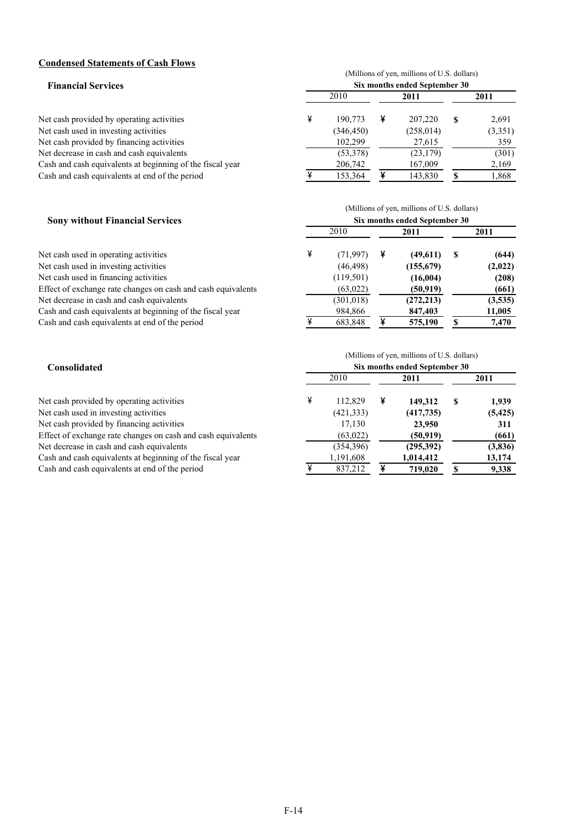## **Condensed Statements of Cash Flows**

| <b>Financial Services</b>                                 | (Millions of yen, millions of U.S. dollars)<br>Six months ended September 30 |            |      |            |      |         |  |  |  |
|-----------------------------------------------------------|------------------------------------------------------------------------------|------------|------|------------|------|---------|--|--|--|
|                                                           | 2010                                                                         |            | 2011 |            | 2011 |         |  |  |  |
| Net cash provided by operating activities                 | ¥                                                                            | 190.773    | ¥    | 207.220    | S    | 2,691   |  |  |  |
| Net cash used in investing activities                     |                                                                              | (346, 450) |      | (258, 014) |      | (3,351) |  |  |  |
| Net cash provided by financing activities                 |                                                                              | 102.299    |      | 27,615     |      | 359     |  |  |  |
| Net decrease in cash and cash equivalents                 |                                                                              | (53,378)   |      | (23, 179)  |      | (301)   |  |  |  |
| Cash and cash equivalents at beginning of the fiscal year |                                                                              | 206,742    |      | 167,009    |      | 2,169   |  |  |  |
| Cash and cash equivalents at end of the period            |                                                                              | 153,364    |      | 143,830    |      | 1,868   |  |  |  |

|                                                              | (Millions of yen, millions of U.S. dollars)<br>Six months ended September 30 |            |      |            |      |         |  |  |  |
|--------------------------------------------------------------|------------------------------------------------------------------------------|------------|------|------------|------|---------|--|--|--|
| <b>Sony without Financial Services</b>                       | 2010                                                                         |            | 2011 |            | 2011 |         |  |  |  |
| Net cash used in operating activities                        | ¥                                                                            | (71,997)   | ¥    | (49,611)   | S    | (644)   |  |  |  |
| Net cash used in investing activities                        |                                                                              | (46, 498)  |      | (155,679)  |      | (2,022) |  |  |  |
| Net cash used in financing activities                        |                                                                              | (119, 501) |      | (16,004)   |      | (208)   |  |  |  |
| Effect of exchange rate changes on cash and cash equivalents |                                                                              | (63,022)   |      | (50, 919)  |      | (661)   |  |  |  |
| Net decrease in cash and cash equivalents                    |                                                                              | (301, 018) |      | (272, 213) |      | (3,535) |  |  |  |
| Cash and cash equivalents at beginning of the fiscal year    |                                                                              | 984,866    |      | 847,403    |      | 11,005  |  |  |  |
| Cash and cash equivalents at end of the period               |                                                                              | 683,848    |      | 575,190    |      | 7,470   |  |  |  |

#### (Millions of yen, millions of U.S. dollars)

| <b>Consolidated</b> |            |      |            |      |                               |  |
|---------------------|------------|------|------------|------|-------------------------------|--|
| 2010                |            | 2011 |            | 2011 |                               |  |
| ¥                   | 112.829    | ¥    | 149,312    | -SS  | 1.939                         |  |
|                     | (421, 333) |      | (417, 735) |      | (5, 425)                      |  |
|                     | 17,130     |      | 23,950     |      | 311                           |  |
|                     | (63, 022)  |      | (50, 919)  |      | (661)                         |  |
|                     | (354, 396) |      | (295,392)  |      | (3,836)                       |  |
|                     | 1,191,608  |      | 1,014,412  |      | 13,174                        |  |
|                     | 837,212    | v    | 719,020    |      | 9,338                         |  |
|                     |            |      |            |      | Six months ended September 30 |  |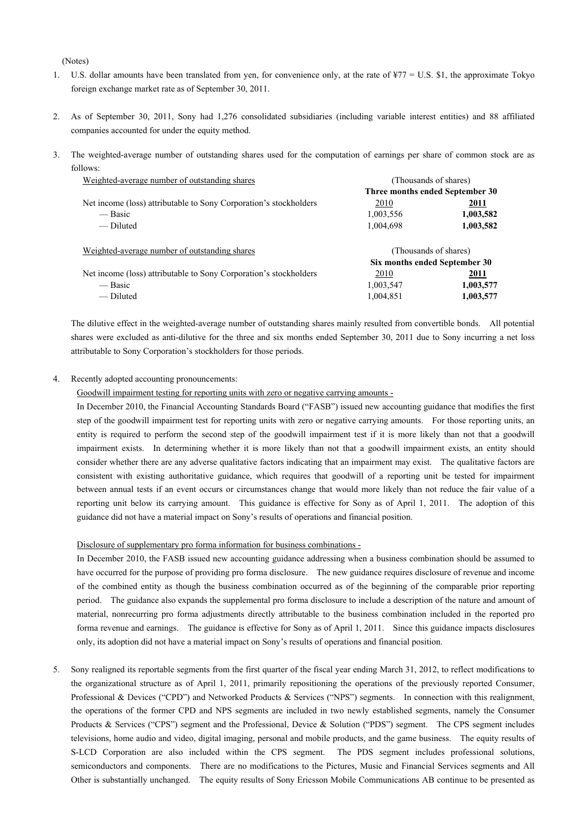(Notes)

- 1. U.S. dollar amounts have been translated from yen, for convenience only, at the rate of  $\frac{477}{7}$  = U.S. \$1, the approximate Tokyo foreign exchange market rate as of September 30, 2011.
- 2. As of September 30, 2011, Sony had 1,276 consolidated subsidiaries (including variable interest entities) and 88 affiliated companies accounted for under the equity method.
- 3. The weighted-average number of outstanding shares used for the computation of earnings per share of common stock are as follows:

| (Thousands of shares)           |           |  |  |  |
|---------------------------------|-----------|--|--|--|
| Three months ended September 30 |           |  |  |  |
| 2010                            | 2011      |  |  |  |
| 1,003,556                       | 1,003,582 |  |  |  |
| 1,004,698                       | 1,003,582 |  |  |  |
| (Thousands of shares)           |           |  |  |  |
| Six months ended September 30   |           |  |  |  |
| 2010                            | 2011      |  |  |  |
| 1,003,547                       | 1,003,577 |  |  |  |
| 1,004,851                       | 1,003,577 |  |  |  |
|                                 |           |  |  |  |

The dilutive effect in the weighted-average number of outstanding shares mainly resulted from convertible bonds. All potential shares were excluded as anti-dilutive for the three and six months ended September 30, 2011 due to Sony incurring a net loss attributable to Sony Corporation's stockholders for those periods.

#### 4. Recently adopted accounting pronouncements:

Goodwill impairment testing for reporting units with zero or negative carrying amounts -

In December 2010, the Financial Accounting Standards Board ("FASB") issued new accounting guidance that modifies the first step of the goodwill impairment test for reporting units with zero or negative carrying amounts. For those reporting units, an entity is required to perform the second step of the goodwill impairment test if it is more likely than not that a goodwill impairment exists. In determining whether it is more likely than not that a goodwill impairment exists, an entity should consider whether there are any adverse qualitative factors indicating that an impairment may exist. The qualitative factors are consistent with existing authoritative guidance, which requires that goodwill of a reporting unit be tested for impairment between annual tests if an event occurs or circumstances change that would more likely than not reduce the fair value of a reporting unit below its carrying amount. This guidance is effective for Sony as of April 1, 2011. The adoption of this guidance did not have a material impact on Sony's results of operations and financial position.

#### Disclosure of supplementary pro forma information for business combinations -

In December 2010, the FASB issued new accounting guidance addressing when a business combination should be assumed to have occurred for the purpose of providing pro forma disclosure. The new guidance requires disclosure of revenue and income of the combined entity as though the business combination occurred as of the beginning of the comparable prior reporting period. The guidance also expands the supplemental pro forma disclosure to include a description of the nature and amount of material, nonrecurring pro forma adjustments directly attributable to the business combination included in the reported pro forma revenue and earnings. The guidance is effective for Sony as of April 1, 2011. Since this guidance impacts disclosures only, its adoption did not have a material impact on Sony's results of operations and financial position.

5. Sony realigned its reportable segments from the first quarter of the fiscal year ending March 31, 2012, to reflect modifications to the organizational structure as of April 1, 2011, primarily repositioning the operations of the previously reported Consumer, Professional & Devices ("CPD") and Networked Products & Services ("NPS") segments. In connection with this realignment, the operations of the former CPD and NPS segments are included in two newly established segments, namely the Consumer Products & Services ("CPS") segment and the Professional, Device & Solution ("PDS") segment. The CPS segment includes televisions, home audio and video, digital imaging, personal and mobile products, and the game business. The equity results of S-LCD Corporation are also included within the CPS segment. The PDS segment includes professional solutions, semiconductors and components. There are no modifications to the Pictures, Music and Financial Services segments and All Other is substantially unchanged. The equity results of Sony Ericsson Mobile Communications AB continue to be presented as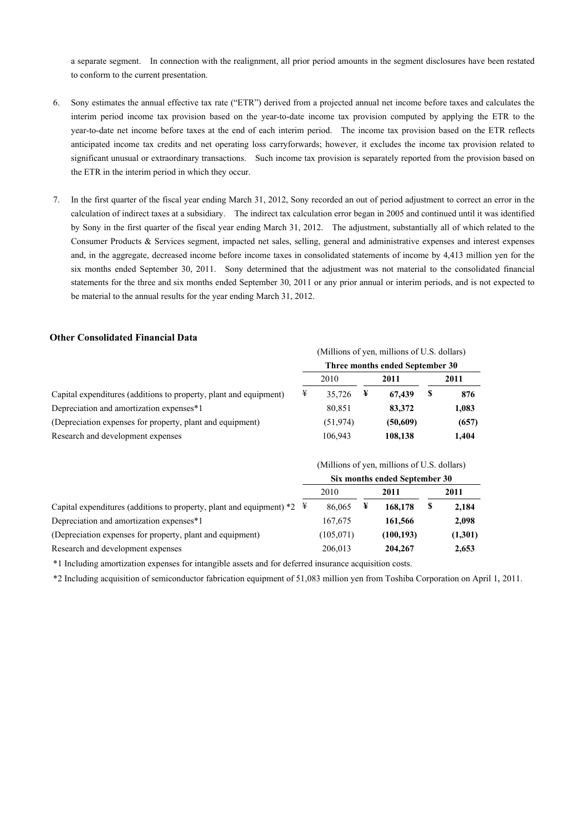a separate segment. In connection with the realignment, all prior period amounts in the segment disclosures have been restated to conform to the current presentation.

- 6. Sony estimates the annual effective tax rate ("ETR") derived from a projected annual net income before taxes and calculates the interim period income tax provision based on the year-to-date income tax provision computed by applying the ETR to the year-to-date net income before taxes at the end of each interim period. The income tax provision based on the ETR reflects anticipated income tax credits and net operating loss carryforwards; however, it excludes the income tax provision related to significant unusual or extraordinary transactions. Such income tax provision is separately reported from the provision based on the ETR in the interim period in which they occur.
- 7. In the first quarter of the fiscal year ending March 31, 2012, Sony recorded an out of period adjustment to correct an error in the calculation of indirect taxes at a subsidiary. The indirect tax calculation error began in 2005 and continued until it was identified by Sony in the first quarter of the fiscal year ending March 31, 2012. The adjustment, substantially all of which related to the Consumer Products & Services segment, impacted net sales, selling, general and administrative expenses and interest expenses and, in the aggregate, decreased income before income taxes in consolidated statements of income by 4,413 million yen for the six months ended September 30, 2011. Sony determined that the adjustment was not material to the consolidated financial statements for the three and six months ended September 30, 2011 or any prior annual or interim periods, and is not expected to be material to the annual results for the year ending March 31, 2012.

#### **Other Consolidated Financial Data**

|                                                                   |              | (Millions of yen, millions of U.S. dollars) |   |          |   |       |
|-------------------------------------------------------------------|--------------|---------------------------------------------|---|----------|---|-------|
|                                                                   |              | Three months ended September 30             |   |          |   |       |
|                                                                   | 2010<br>2011 |                                             |   | 2011     |   |       |
| Capital expenditures (additions to property, plant and equipment) | ¥            | 35.726                                      | ¥ | 67,439   | S | 876   |
| Depreciation and amortization expenses*1                          |              | 80,851                                      |   | 83,372   |   | 1,083 |
| (Depreciation expenses for property, plant and equipment)         |              | (51, 974)                                   |   | (50,609) |   | (657) |
| Research and development expenses                                 |              | 106,943                                     |   | 108,138  |   | 1,404 |

(Millions of yen, millions of U.S. dollars)

|                                                                                    | Six months ended September 30 |      |            |      |         |
|------------------------------------------------------------------------------------|-------------------------------|------|------------|------|---------|
|                                                                                    | 2010                          | 2011 |            | 2011 |         |
| Capital expenditures (additions to property, plant and equipment) *2 $\frac{4}{3}$ | 86,065                        | ¥    | 168,178    | S    | 2,184   |
| Depreciation and amortization expenses*1                                           | 167,675                       |      | 161,566    |      | 2,098   |
| (Depreciation expenses for property, plant and equipment)                          | (105,071)                     |      | (100, 193) |      | (1,301) |
| Research and development expenses                                                  | 206,013                       |      | 204,267    |      | 2,653   |

\*1 Including amortization expenses for intangible assets and for deferred insurance acquisition costs.

\*2 Including acquisition of semiconductor fabrication equipment of 51,083 million yen from Toshiba Corporation on April 1, 2011.